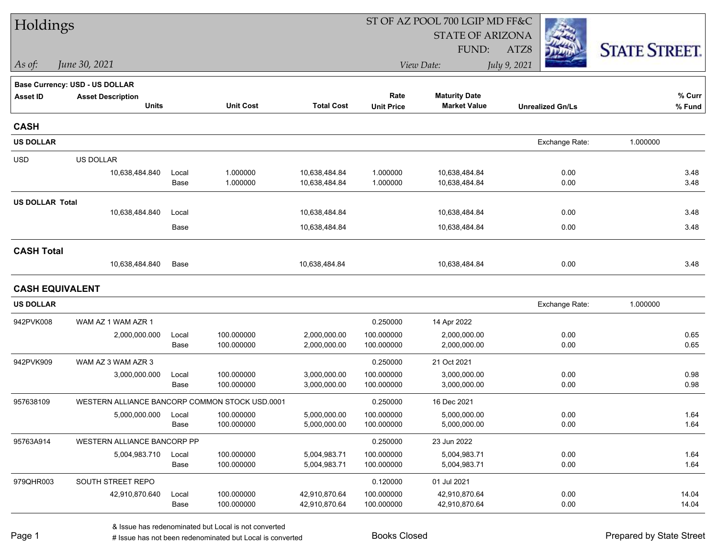| Holdings               |                                                |               |                          |                              | ST OF AZ POOL 700 LGIP MD FF&C |                              |                         |                      |  |
|------------------------|------------------------------------------------|---------------|--------------------------|------------------------------|--------------------------------|------------------------------|-------------------------|----------------------|--|
|                        |                                                |               |                          |                              |                                | <b>STATE OF ARIZONA</b>      |                         |                      |  |
|                        |                                                |               |                          |                              |                                | FUND:                        | ATZ8                    | <b>STATE STREET.</b> |  |
| As of:                 | June 30, 2021                                  |               |                          |                              |                                | View Date:                   | July 9, 2021            |                      |  |
|                        | Base Currency: USD - US DOLLAR                 |               |                          |                              |                                |                              |                         |                      |  |
| <b>Asset ID</b>        | <b>Asset Description</b>                       |               |                          |                              | Rate                           | <b>Maturity Date</b>         |                         | % Curr               |  |
|                        | <b>Units</b>                                   |               | <b>Unit Cost</b>         | <b>Total Cost</b>            | <b>Unit Price</b>              | <b>Market Value</b>          | <b>Unrealized Gn/Ls</b> | % Fund               |  |
| <b>CASH</b>            |                                                |               |                          |                              |                                |                              |                         |                      |  |
| <b>US DOLLAR</b>       |                                                |               |                          |                              |                                |                              | Exchange Rate:          | 1.000000             |  |
| <b>USD</b>             | <b>US DOLLAR</b>                               |               |                          |                              |                                |                              |                         |                      |  |
|                        | 10,638,484.840                                 | Local         | 1.000000                 | 10,638,484.84                | 1.000000                       | 10,638,484.84                | 0.00                    | 3.48                 |  |
|                        |                                                | Base          | 1.000000                 | 10,638,484.84                | 1.000000                       | 10,638,484.84                | 0.00                    | 3.48                 |  |
| <b>US DOLLAR Total</b> |                                                |               |                          |                              |                                |                              |                         |                      |  |
|                        | 10,638,484.840                                 | Local         |                          | 10,638,484.84                |                                | 10,638,484.84                | 0.00                    | 3.48                 |  |
|                        |                                                | Base          |                          | 10,638,484.84                |                                | 10,638,484.84                | 0.00                    | 3.48                 |  |
| <b>CASH Total</b>      |                                                |               |                          |                              |                                |                              |                         |                      |  |
|                        | 10,638,484.840                                 | Base          |                          | 10,638,484.84                |                                | 10,638,484.84                | 0.00                    | 3.48                 |  |
| <b>CASH EQUIVALENT</b> |                                                |               |                          |                              |                                |                              |                         |                      |  |
| <b>US DOLLAR</b>       |                                                |               |                          |                              |                                |                              | Exchange Rate:          | 1.000000             |  |
| 942PVK008              | WAM AZ 1 WAM AZR 1                             |               |                          |                              | 0.250000                       | 14 Apr 2022                  |                         |                      |  |
|                        | 2,000,000.000                                  | Local         | 100.000000               | 2,000,000.00                 | 100.000000                     | 2,000,000.00                 | 0.00                    | 0.65                 |  |
|                        |                                                | Base          | 100.000000               | 2,000,000.00                 | 100.000000                     | 2,000,000.00                 | 0.00                    | 0.65                 |  |
| 942PVK909              | WAM AZ 3 WAM AZR 3                             |               |                          |                              | 0.250000                       | 21 Oct 2021                  |                         |                      |  |
|                        | 3,000,000.000                                  | Local         | 100.000000               | 3,000,000.00                 | 100.000000                     | 3,000,000.00                 | 0.00                    | 0.98                 |  |
|                        |                                                | Base          | 100.000000               | 3,000,000.00                 | 100.000000                     | 3,000,000.00                 | 0.00                    | 0.98                 |  |
| 957638109              | WESTERN ALLIANCE BANCORP COMMON STOCK USD.0001 |               |                          |                              | 0.250000                       | 16 Dec 2021                  |                         |                      |  |
|                        | 5,000,000.000                                  | Local<br>Base | 100.000000<br>100.000000 | 5,000,000.00<br>5,000,000.00 | 100.000000<br>100.000000       | 5,000,000.00<br>5,000,000.00 | 0.00<br>0.00            | 1.64<br>1.64         |  |
| 95763A914              | WESTERN ALLIANCE BANCORP PP                    |               |                          |                              | 0.250000                       | 23 Jun 2022                  |                         |                      |  |
|                        | 5,004,983.710                                  | Local         | 100.000000               | 5,004,983.71                 | 100.000000                     | 5,004,983.71                 | 0.00                    | 1.64                 |  |
|                        |                                                | Base          | 100.000000               | 5,004,983.71                 | 100.000000                     | 5,004,983.71                 | 0.00                    | 1.64                 |  |
| 979QHR003              | SOUTH STREET REPO                              |               |                          |                              | 0.120000                       | 01 Jul 2021                  |                         |                      |  |
|                        | 42,910,870.640                                 | Local         | 100.000000               | 42,910,870.64                | 100.000000                     | 42,910,870.64                | 0.00                    | 14.04                |  |
|                        |                                                | Base          | 100.000000               | 42,910,870.64                | 100.000000                     | 42,910,870.64                | 0.00                    | 14.04                |  |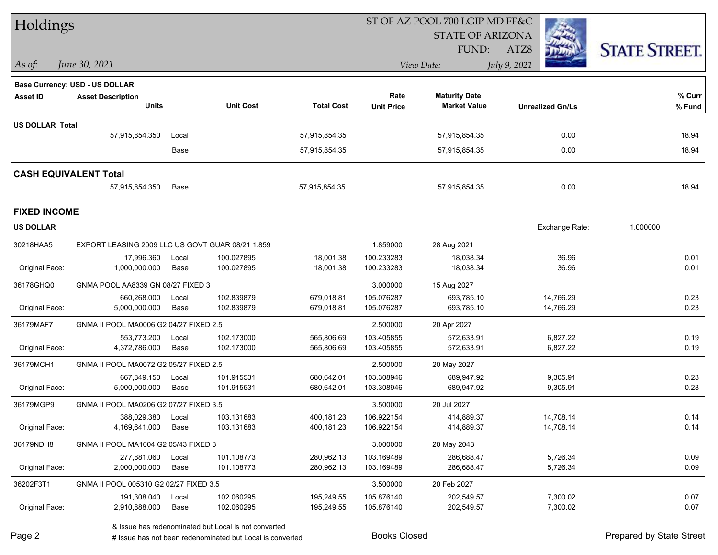| Holdings                     |                                                  |               |                          |                          | ST OF AZ POOL 700 LGIP MD FF&C |                          |                         |                      |  |
|------------------------------|--------------------------------------------------|---------------|--------------------------|--------------------------|--------------------------------|--------------------------|-------------------------|----------------------|--|
|                              |                                                  |               |                          |                          |                                | <b>STATE OF ARIZONA</b>  |                         |                      |  |
|                              |                                                  |               |                          |                          |                                | FUND:                    | ATZ8                    | <b>STATE STREET.</b> |  |
| As of:                       | June 30, 2021                                    |               |                          |                          |                                | View Date:               | July 9, 2021            |                      |  |
|                              | <b>Base Currency: USD - US DOLLAR</b>            |               |                          |                          |                                |                          |                         |                      |  |
| <b>Asset ID</b>              | <b>Asset Description</b>                         |               |                          |                          | Rate                           | <b>Maturity Date</b>     |                         | % Curr               |  |
|                              | <b>Units</b>                                     |               | <b>Unit Cost</b>         | <b>Total Cost</b>        | <b>Unit Price</b>              | <b>Market Value</b>      | <b>Unrealized Gn/Ls</b> | % Fund               |  |
| <b>US DOLLAR Total</b>       |                                                  |               |                          |                          |                                |                          |                         |                      |  |
|                              | 57,915,854.350                                   | Local         |                          | 57,915,854.35            |                                | 57,915,854.35            | 0.00                    | 18.94                |  |
|                              |                                                  | Base          |                          | 57,915,854.35            |                                | 57,915,854.35            | 0.00                    | 18.94                |  |
| <b>CASH EQUIVALENT Total</b> |                                                  |               |                          |                          |                                |                          |                         |                      |  |
|                              | 57,915,854.350                                   | Base          |                          | 57,915,854.35            |                                | 57,915,854.35            | 0.00                    | 18.94                |  |
| <b>FIXED INCOME</b>          |                                                  |               |                          |                          |                                |                          |                         |                      |  |
| <b>US DOLLAR</b>             |                                                  |               |                          |                          |                                |                          | Exchange Rate:          | 1.000000             |  |
| 30218HAA5                    | EXPORT LEASING 2009 LLC US GOVT GUAR 08/21 1.859 |               |                          |                          | 1.859000                       | 28 Aug 2021              |                         |                      |  |
|                              | 17,996.360                                       | Local         | 100.027895               | 18,001.38                | 100.233283                     | 18,038.34                | 36.96                   | 0.01                 |  |
| Original Face:               | 1,000,000.000                                    | Base          | 100.027895               | 18,001.38                | 100.233283                     | 18,038.34                | 36.96                   | 0.01                 |  |
| 36178GHQ0                    | GNMA POOL AA8339 GN 08/27 FIXED 3                |               |                          |                          | 3.000000                       | 15 Aug 2027              |                         |                      |  |
| Original Face:               | 660,268.000<br>5,000,000.000                     | Local<br>Base | 102.839879<br>102.839879 | 679,018.81<br>679,018.81 | 105.076287<br>105.076287       | 693,785.10<br>693,785.10 | 14,766.29<br>14,766.29  | 0.23<br>0.23         |  |
|                              |                                                  |               |                          |                          |                                |                          |                         |                      |  |
| 36179MAF7                    | GNMA II POOL MA0006 G2 04/27 FIXED 2.5           |               |                          |                          | 2.500000                       | 20 Apr 2027              |                         |                      |  |
| Original Face:               | 553,773.200<br>4,372,786.000                     | Local<br>Base | 102.173000<br>102.173000 | 565,806.69<br>565,806.69 | 103.405855<br>103.405855       | 572,633.91<br>572,633.91 | 6,827.22<br>6,827.22    | 0.19<br>0.19         |  |
|                              |                                                  |               |                          |                          |                                |                          |                         |                      |  |
| 36179MCH1                    | GNMA II POOL MA0072 G2 05/27 FIXED 2.5           |               |                          |                          | 2.500000                       | 20 May 2027              |                         |                      |  |
| Original Face:               | 667,849.150<br>5,000,000.000                     | Local<br>Base | 101.915531<br>101.915531 | 680,642.01<br>680,642.01 | 103.308946<br>103.308946       | 689,947.92<br>689,947.92 | 9,305.91<br>9,305.91    | 0.23<br>0.23         |  |
| 36179MGP9                    | GNMA II POOL MA0206 G2 07/27 FIXED 3.5           |               |                          |                          | 3.500000                       | 20 Jul 2027              |                         |                      |  |
|                              | 388,029.380 Local                                |               | 103.131683               | 400,181.23               | 106.922154                     | 414,889.37               | 14,708.14               | 0.14                 |  |
| Original Face:               | 4,169,641.000                                    | Base          | 103.131683               | 400,181.23               | 106.922154                     | 414,889.37               | 14,708.14               | 0.14                 |  |
| 36179NDH8                    | GNMA II POOL MA1004 G2 05/43 FIXED 3             |               |                          |                          | 3.000000                       | 20 May 2043              |                         |                      |  |
|                              | 277,881.060                                      | Local         | 101.108773               | 280,962.13               | 103.169489                     | 286,688.47               | 5,726.34                | 0.09                 |  |
| Original Face:               | 2,000,000.000                                    | Base          | 101.108773               | 280,962.13               | 103.169489                     | 286,688.47               | 5,726.34                | 0.09                 |  |
| 36202F3T1                    | GNMA II POOL 005310 G2 02/27 FIXED 3.5           |               |                          |                          | 3.500000                       | 20 Feb 2027              |                         |                      |  |
|                              | 191,308.040                                      | Local         | 102.060295               | 195,249.55               | 105.876140                     | 202,549.57               | 7,300.02                | 0.07                 |  |
| Original Face:               | 2,910,888.000                                    | Base          | 102.060295               | 195,249.55               | 105.876140                     | 202,549.57               | 7,300.02                | 0.07                 |  |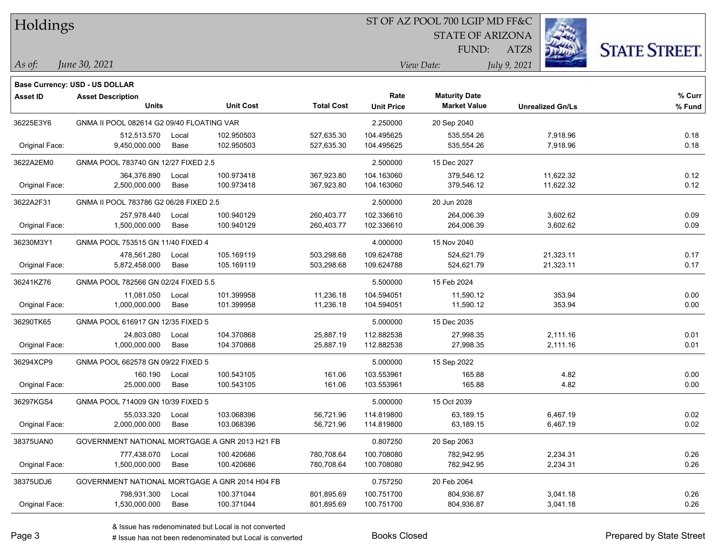| Holdings        |                                                |       |                  |                   |                   | ST OF AZ POOL 700 LGIP MD FF&C |                         |                      |
|-----------------|------------------------------------------------|-------|------------------|-------------------|-------------------|--------------------------------|-------------------------|----------------------|
|                 |                                                |       |                  |                   |                   | <b>STATE OF ARIZONA</b>        |                         |                      |
|                 |                                                |       |                  |                   |                   | FUND:                          | ATZ8                    | <b>STATE STREET.</b> |
| As of:          | June 30, 2021                                  |       |                  |                   |                   | View Date:                     | July 9, 2021            |                      |
|                 |                                                |       |                  |                   |                   |                                |                         |                      |
|                 | Base Currency: USD - US DOLLAR                 |       |                  |                   | Rate              | <b>Maturity Date</b>           |                         | $%$ Curr             |
| <b>Asset ID</b> | <b>Asset Description</b><br><b>Units</b>       |       | <b>Unit Cost</b> | <b>Total Cost</b> | <b>Unit Price</b> | <b>Market Value</b>            | <b>Unrealized Gn/Ls</b> | % Fund               |
| 36225E3Y6       | GNMA II POOL 082614 G2 09/40 FLOATING VAR      |       |                  |                   | 2.250000          | 20 Sep 2040                    |                         |                      |
|                 | 512,513.570                                    | Local | 102.950503       | 527,635.30        | 104.495625        | 535,554.26                     | 7,918.96                | 0.18                 |
| Original Face:  | 9,450,000.000                                  | Base  | 102.950503       | 527,635.30        | 104.495625        | 535,554.26                     | 7,918.96                | 0.18                 |
| 3622A2EM0       | GNMA POOL 783740 GN 12/27 FIXED 2.5            |       |                  |                   | 2.500000          | 15 Dec 2027                    |                         |                      |
|                 | 364,376.890                                    | Local | 100.973418       | 367,923.80        | 104.163060        | 379,546.12                     | 11,622.32               | 0.12                 |
| Original Face:  | 2,500,000.000                                  | Base  | 100.973418       | 367,923.80        | 104.163060        | 379,546.12                     | 11,622.32               | 0.12                 |
| 3622A2F31       | GNMA II POOL 783786 G2 06/28 FIXED 2.5         |       |                  |                   | 2.500000          | 20 Jun 2028                    |                         |                      |
|                 | 257,978.440                                    | Local | 100.940129       | 260,403.77        | 102.336610        | 264,006.39                     | 3,602.62                | 0.09                 |
| Original Face:  | 1,500,000.000                                  | Base  | 100.940129       | 260,403.77        | 102.336610        | 264,006.39                     | 3,602.62                | 0.09                 |
| 36230M3Y1       | GNMA POOL 753515 GN 11/40 FIXED 4              |       |                  |                   | 4.000000          | 15 Nov 2040                    |                         |                      |
|                 | 478,561.280                                    | Local | 105.169119       | 503,298.68        | 109.624788        | 524,621.79                     | 21,323.11               | 0.17                 |
| Original Face:  | 5,872,458.000                                  | Base  | 105.169119       | 503,298.68        | 109.624788        | 524,621.79                     | 21,323.11               | 0.17                 |
| 36241KZ76       | GNMA POOL 782566 GN 02/24 FIXED 5.5            |       |                  |                   | 5.500000          | 15 Feb 2024                    |                         |                      |
|                 | 11,081.050                                     | Local | 101.399958       | 11,236.18         | 104.594051        | 11,590.12                      | 353.94                  | 0.00                 |
| Original Face:  | 1,000,000.000                                  | Base  | 101.399958       | 11,236.18         | 104.594051        | 11,590.12                      | 353.94                  | 0.00                 |
| 36290TK65       | GNMA POOL 616917 GN 12/35 FIXED 5              |       |                  |                   | 5.000000          | 15 Dec 2035                    |                         |                      |
|                 | 24,803.080                                     | Local | 104.370868       | 25,887.19         | 112.882538        | 27,998.35                      | 2,111.16                | 0.01                 |
| Original Face:  | 1,000,000.000                                  | Base  | 104.370868       | 25,887.19         | 112.882538        | 27,998.35                      | 2,111.16                | 0.01                 |
| 36294XCP9       | GNMA POOL 662578 GN 09/22 FIXED 5              |       |                  |                   | 5.000000          | 15 Sep 2022                    |                         |                      |
|                 | 160.190                                        | Local | 100.543105       | 161.06            | 103.553961        | 165.88                         | 4.82                    | 0.00                 |
| Original Face:  | 25,000.000                                     | Base  | 100.543105       | 161.06            | 103.553961        | 165.88                         | 4.82                    | 0.00                 |
| 36297KGS4       | GNMA POOL 714009 GN 10/39 FIXED 5              |       |                  |                   | 5.000000          | 15 Oct 2039                    |                         |                      |
|                 | 55,033.320                                     | Local | 103.068396       | 56,721.96         | 114.819800        | 63,189.15                      | 6,467.19                | 0.02                 |
| Original Face:  | 2,000,000.000                                  | Base  | 103.068396       | 56,721.96         | 114.819800        | 63,189.15                      | 6,467.19                | 0.02                 |
| 38375UAN0       | GOVERNMENT NATIONAL MORTGAGE A GNR 2013 H21 FB |       |                  |                   | 0.807250          | 20 Sep 2063                    |                         |                      |
|                 | 777,438.070                                    | Local | 100.420686       | 780,708.64        | 100.708080        | 782,942.95                     | 2,234.31                | 0.26                 |
| Original Face:  | 1,500,000.000                                  | Base  | 100.420686       | 780,708.64        | 100.708080        | 782,942.95                     | 2,234.31                | 0.26                 |
| 38375UDJ6       | GOVERNMENT NATIONAL MORTGAGE A GNR 2014 H04 FB |       |                  |                   | 0.757250          | 20 Feb 2064                    |                         |                      |
|                 | 798,931.300                                    | Local | 100.371044       | 801,895.69        | 100.751700        | 804,936.87                     | 3,041.18                | 0.26                 |
| Original Face:  | 1,530,000.000                                  | Base  | 100.371044       | 801,895.69        | 100.751700        | 804,936.87                     | 3,041.18                | 0.26                 |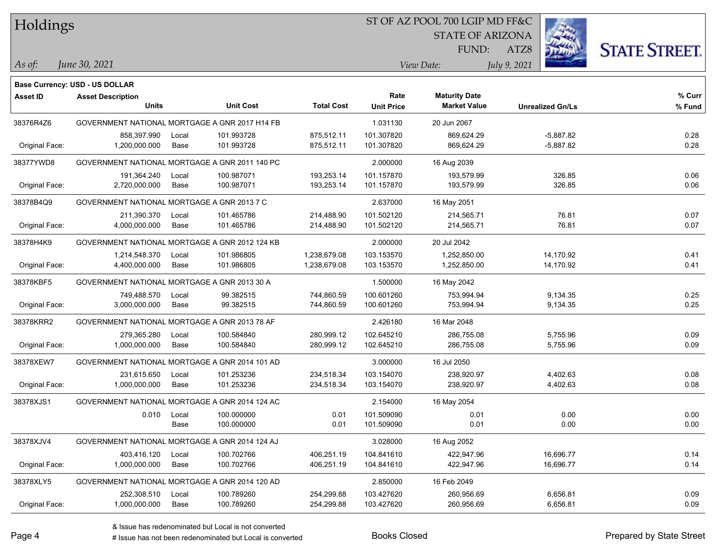|  |  | Holdings |  |
|--|--|----------|--|
|--|--|----------|--|

## ST OF AZ POOL 700 LGIP MD FF&C

STATE OF ARIZONA



*June 30, 2021 As of: View Date: July 9, 2021*

**Base Currency: USD - US DOLLAR**

ATZ8 FUND:

| Asset ID       | <b>Asset Description</b>                       |       |                  |                   | Rate              | <b>Maturity Date</b> |                         | % Curr |
|----------------|------------------------------------------------|-------|------------------|-------------------|-------------------|----------------------|-------------------------|--------|
|                | <b>Units</b>                                   |       | <b>Unit Cost</b> | <b>Total Cost</b> | <b>Unit Price</b> | <b>Market Value</b>  | <b>Unrealized Gn/Ls</b> | % Fund |
| 38376R4Z6      | GOVERNMENT NATIONAL MORTGAGE A GNR 2017 H14 FB |       |                  |                   | 1.031130          | 20 Jun 2067          |                         |        |
|                | 858,397.990                                    | Local | 101.993728       | 875,512.11        | 101.307820        | 869,624.29           | $-5,887.82$             | 0.28   |
| Original Face: | 1,200,000.000                                  | Base  | 101.993728       | 875,512.11        | 101.307820        | 869,624.29           | $-5,887.82$             | 0.28   |
| 38377YWD8      | GOVERNMENT NATIONAL MORTGAGE A GNR 2011 140 PC |       |                  |                   | 2.000000          | 16 Aug 2039          |                         |        |
|                | 191,364.240                                    | Local | 100.987071       | 193,253.14        | 101.157870        | 193,579.99           | 326.85                  | 0.06   |
| Original Face: | 2,720,000.000                                  | Base  | 100.987071       | 193,253.14        | 101.157870        | 193,579.99           | 326.85                  | 0.06   |
| 38378B4Q9      | GOVERNMENT NATIONAL MORTGAGE A GNR 2013 7 C    |       |                  |                   | 2.637000          | 16 May 2051          |                         |        |
|                | 211,390.370                                    | Local | 101.465786       | 214,488.90        | 101.502120        | 214,565.71           | 76.81                   | 0.07   |
| Original Face: | 4,000,000.000                                  | Base  | 101.465786       | 214,488.90        | 101.502120        | 214,565.71           | 76.81                   | 0.07   |
| 38378H4K9      | GOVERNMENT NATIONAL MORTGAGE A GNR 2012 124 KB |       |                  |                   | 2.000000          | 20 Jul 2042          |                         |        |
|                | 1,214,548.370                                  | Local | 101.986805       | 1,238,679.08      | 103.153570        | 1,252,850.00         | 14,170.92               | 0.41   |
| Original Face: | 4,400,000.000                                  | Base  | 101.986805       | 1,238,679.08      | 103.153570        | 1,252,850.00         | 14,170.92               | 0.41   |
| 38378KBF5      | GOVERNMENT NATIONAL MORTGAGE A GNR 2013 30 A   |       |                  |                   | 1.500000          | 16 May 2042          |                         |        |
|                | 749,488.570                                    | Local | 99.382515        | 744,860.59        | 100.601260        | 753.994.94           | 9,134.35                | 0.25   |
| Original Face: | 3,000,000.000                                  | Base  | 99.382515        | 744,860.59        | 100.601260        | 753,994.94           | 9,134.35                | 0.25   |
| 38378KRR2      | GOVERNMENT NATIONAL MORTGAGE A GNR 2013 78 AF  |       |                  |                   | 2.426180          | 16 Mar 2048          |                         |        |
|                | 279,365.280                                    | Local | 100.584840       | 280,999.12        | 102.645210        | 286,755.08           | 5,755.96                | 0.09   |
| Original Face: | 1,000,000.000                                  | Base  | 100.584840       | 280,999.12        | 102.645210        | 286,755.08           | 5,755.96                | 0.09   |
| 38378XEW7      | GOVERNMENT NATIONAL MORTGAGE A GNR 2014 101 AD |       |                  |                   | 3.000000          | 16 Jul 2050          |                         |        |
|                | 231,615.650                                    | Local | 101.253236       | 234,518.34        | 103.154070        | 238,920.97           | 4,402.63                | 0.08   |
| Original Face: | 1,000,000.000                                  | Base  | 101.253236       | 234,518.34        | 103.154070        | 238,920.97           | 4,402.63                | 0.08   |
| 38378XJS1      | GOVERNMENT NATIONAL MORTGAGE A GNR 2014 124 AC |       |                  |                   | 2.154000          | 16 May 2054          |                         |        |
|                | 0.010                                          | Local | 100.000000       | 0.01              | 101.509090        | 0.01                 | 0.00                    | 0.00   |
|                |                                                | Base  | 100.000000       | 0.01              | 101.509090        | 0.01                 | 0.00                    | 0.00   |
| 38378XJV4      | GOVERNMENT NATIONAL MORTGAGE A GNR 2014 124 AJ |       |                  |                   | 3.028000          | 16 Aug 2052          |                         |        |
|                | 403,416.120                                    | Local | 100.702766       | 406,251.19        | 104.841610        | 422,947.96           | 16,696.77               | 0.14   |
| Original Face: | 1,000,000.000                                  | Base  | 100.702766       | 406,251.19        | 104.841610        | 422,947.96           | 16,696.77               | 0.14   |
| 38378XLY5      | GOVERNMENT NATIONAL MORTGAGE A GNR 2014 120 AD |       |                  |                   | 2.850000          | 16 Feb 2049          |                         |        |
|                | 252,308.510                                    | Local | 100.789260       | 254,299.88        | 103.427620        | 260,956.69           | 6,656.81                | 0.09   |
| Original Face: | 1,000,000.000                                  | Base  | 100.789260       | 254,299.88        | 103.427620        | 260,956.69           | 6,656.81                | 0.09   |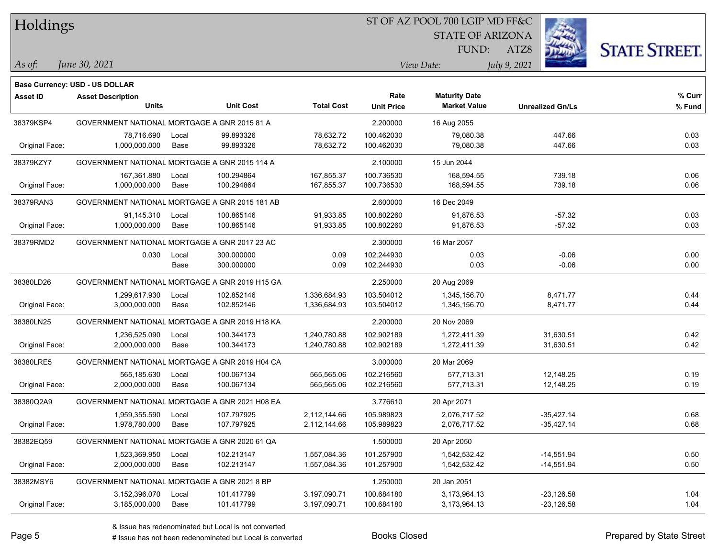| Holdings        |                                                |       |                  |                   | ST OF AZ POOL 700 LGIP MD FF&C |                         |                         |                      |
|-----------------|------------------------------------------------|-------|------------------|-------------------|--------------------------------|-------------------------|-------------------------|----------------------|
|                 |                                                |       |                  |                   |                                | <b>STATE OF ARIZONA</b> |                         |                      |
|                 |                                                |       |                  |                   |                                | FUND:                   | ATZ8                    | <b>STATE STREET.</b> |
| As of:          | June 30, 2021                                  |       |                  |                   |                                | View Date:              | July 9, 2021            |                      |
|                 | <b>Base Currency: USD - US DOLLAR</b>          |       |                  |                   |                                |                         |                         |                      |
| <b>Asset ID</b> | <b>Asset Description</b>                       |       |                  |                   | Rate                           | <b>Maturity Date</b>    |                         | $%$ Curr             |
|                 | <b>Units</b>                                   |       | <b>Unit Cost</b> | <b>Total Cost</b> | <b>Unit Price</b>              | <b>Market Value</b>     | <b>Unrealized Gn/Ls</b> | % Fund               |
| 38379KSP4       | GOVERNMENT NATIONAL MORTGAGE A GNR 2015 81 A   |       |                  |                   | 2.200000                       | 16 Aug 2055             |                         |                      |
|                 | 78,716.690                                     | Local | 99.893326        | 78,632.72         | 100.462030                     | 79,080.38               | 447.66                  | 0.03                 |
| Original Face:  | 1,000,000.000                                  | Base  | 99.893326        | 78,632.72         | 100.462030                     | 79,080.38               | 447.66                  | 0.03                 |
| 38379KZY7       | GOVERNMENT NATIONAL MORTGAGE A GNR 2015 114 A  |       |                  |                   | 2.100000                       | 15 Jun 2044             |                         |                      |
|                 | 167,361.880                                    | Local | 100.294864       | 167,855.37        | 100.736530                     | 168,594.55              | 739.18                  | 0.06                 |
| Original Face:  | 1,000,000.000                                  | Base  | 100.294864       | 167,855.37        | 100.736530                     | 168,594.55              | 739.18                  | 0.06                 |
| 38379RAN3       | GOVERNMENT NATIONAL MORTGAGE A GNR 2015 181 AB |       |                  |                   | 2.600000                       | 16 Dec 2049             |                         |                      |
|                 | 91,145.310                                     | Local | 100.865146       | 91,933.85         | 100.802260                     | 91,876.53               | $-57.32$                | 0.03                 |
| Original Face:  | 1,000,000.000                                  | Base  | 100.865146       | 91,933.85         | 100.802260                     | 91,876.53               | $-57.32$                | 0.03                 |
| 38379RMD2       | GOVERNMENT NATIONAL MORTGAGE A GNR 2017 23 AC  |       |                  |                   | 2.300000                       | 16 Mar 2057             |                         |                      |
|                 | 0.030                                          | Local | 300.000000       | 0.09              | 102.244930                     | 0.03                    | $-0.06$                 | 0.00                 |
|                 |                                                | Base  | 300.000000       | 0.09              | 102.244930                     | 0.03                    | $-0.06$                 | 0.00                 |
| 38380LD26       | GOVERNMENT NATIONAL MORTGAGE A GNR 2019 H15 GA |       |                  |                   | 2.250000                       | 20 Aug 2069             |                         |                      |
|                 | 1,299,617.930                                  | Local | 102.852146       | 1,336,684.93      | 103.504012                     | 1,345,156.70            | 8,471.77                | 0.44                 |
| Original Face:  | 3,000,000.000                                  | Base  | 102.852146       | 1,336,684.93      | 103.504012                     | 1,345,156.70            | 8,471.77                | 0.44                 |
| 38380LN25       | GOVERNMENT NATIONAL MORTGAGE A GNR 2019 H18 KA |       |                  |                   | 2.200000                       | 20 Nov 2069             |                         |                      |
|                 | 1,236,525.090                                  | Local | 100.344173       | 1,240,780.88      | 102.902189                     | 1,272,411.39            | 31,630.51               | 0.42                 |
| Original Face:  | 2,000,000.000                                  | Base  | 100.344173       | 1,240,780.88      | 102.902189                     | 1,272,411.39            | 31,630.51               | 0.42                 |
| 38380LRE5       | GOVERNMENT NATIONAL MORTGAGE A GNR 2019 H04 CA |       |                  |                   | 3.000000                       | 20 Mar 2069             |                         |                      |
|                 | 565,185.630                                    | Local | 100.067134       | 565,565.06        | 102.216560                     | 577,713.31              | 12,148.25               | 0.19                 |
| Original Face:  | 2,000,000.000                                  | Base  | 100.067134       | 565,565.06        | 102.216560                     | 577,713.31              | 12,148.25               | 0.19                 |
| 38380Q2A9       | GOVERNMENT NATIONAL MORTGAGE A GNR 2021 H08 EA |       |                  |                   | 3.776610                       | 20 Apr 2071             |                         |                      |
|                 | 1,959,355.590                                  | Local | 107.797925       | 2,112,144.66      | 105.989823                     | 2,076,717.52            | $-35,427.14$            | 0.68                 |
| Original Face:  | 1,978,780.000                                  | Base  | 107.797925       | 2,112,144.66      | 105.989823                     | 2,076,717.52            | $-35,427.14$            | 0.68                 |
| 38382EQ59       | GOVERNMENT NATIONAL MORTGAGE A GNR 2020 61 QA  |       |                  |                   | 1.500000                       | 20 Apr 2050             |                         |                      |
|                 | 1,523,369.950                                  | Local | 102.213147       | 1,557,084.36      | 101.257900                     | 1,542,532.42            | $-14,551.94$            | 0.50                 |
| Original Face:  | 2,000,000.000                                  | Base  | 102.213147       | 1,557,084.36      | 101.257900                     | 1,542,532.42            | $-14,551.94$            | 0.50                 |
| 38382MSY6       | GOVERNMENT NATIONAL MORTGAGE A GNR 2021 8 BP   |       |                  |                   | 1.250000                       | 20 Jan 2051             |                         |                      |
|                 | 3,152,396.070                                  | Local | 101.417799       | 3,197,090.71      | 100.684180                     | 3,173,964.13            | $-23,126.58$            | 1.04                 |
| Original Face:  | 3,185,000.000                                  | Base  | 101.417799       | 3,197,090.71      | 100.684180                     | 3,173,964.13            | $-23,126.58$            | 1.04                 |

 $\overline{\phantom{a}}$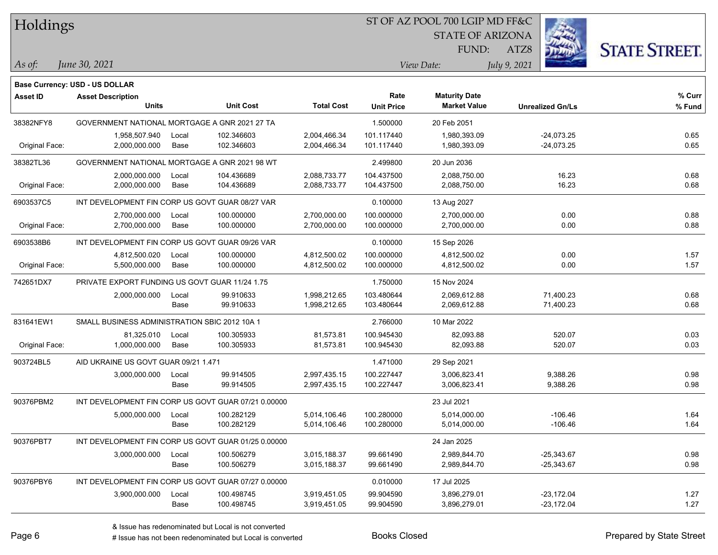Holdings

*June 30, 2021*

**Base Currency: USD - US DOLLAR**

## ST OF AZ POOL 700 LGIP MD FF&C

STATE OF ARIZONA



**% Fund**

**% Curr**

ATZ8 *As of: View Date: July 9, 2021*

| <b>Asset ID</b> | <b>Asset Description</b>                        |       |                  |                   | Rate              | <b>Maturity Date</b> |                         | % Cur |
|-----------------|-------------------------------------------------|-------|------------------|-------------------|-------------------|----------------------|-------------------------|-------|
|                 | <b>Units</b>                                    |       | <b>Unit Cost</b> | <b>Total Cost</b> | <b>Unit Price</b> | <b>Market Value</b>  | <b>Unrealized Gn/Ls</b> | % Fun |
| 38382NFY8       | GOVERNMENT NATIONAL MORTGAGE A GNR 2021 27 TA   |       |                  |                   | 1.500000          | 20 Feb 2051          |                         |       |
|                 | 1,958,507.940                                   | Local | 102.346603       | 2,004,466.34      | 101.117440        | 1,980,393.09         | $-24,073.25$            | 0.65  |
| Original Face:  | 2,000,000.000                                   | Base  | 102.346603       | 2,004,466.34      | 101.117440        | 1,980,393.09         | $-24,073.25$            | 0.65  |
| 38382TL36       | GOVERNMENT NATIONAL MORTGAGE A GNR 2021 98 WT   |       |                  |                   | 2.499800          | 20 Jun 2036          |                         |       |
|                 | 2,000,000.000                                   | Local | 104.436689       | 2,088,733.77      | 104.437500        | 2,088,750.00         | 16.23                   | 0.68  |
| Original Face:  | 2,000,000.000                                   | Base  | 104.436689       | 2,088,733.77      | 104.437500        | 2,088,750.00         | 16.23                   | 0.68  |
| 6903537C5       | INT DEVELOPMENT FIN CORP US GOVT GUAR 08/27 VAR |       |                  |                   | 0.100000          | 13 Aug 2027          |                         |       |
|                 | 2,700,000.000                                   | Local | 100.000000       | 2,700,000.00      | 100.000000        | 2,700,000.00         | 0.00                    | 0.88  |
| Original Face:  | 2,700,000.000                                   | Base  | 100.000000       | 2,700,000.00      | 100.000000        | 2,700,000.00         | 0.00                    | 0.88  |
| 6903538B6       | INT DEVELOPMENT FIN CORP US GOVT GUAR 09/26 VAR |       |                  |                   | 0.100000          | 15 Sep 2026          |                         |       |
|                 | 4.812.500.020                                   | Local | 100.000000       | 4,812,500.02      | 100.000000        | 4,812,500.02         | 0.00                    | 1.57  |
| Original Face:  | 5,500,000.000                                   | Base  | 100.000000       | 4,812,500.02      | 100.000000        | 4,812,500.02         | 0.00                    | 1.57  |
| 742651DX7       | PRIVATE EXPORT FUNDING US GOVT GUAR 11/24 1.75  |       |                  |                   | 1.750000          | 15 Nov 2024          |                         |       |
|                 | 2,000,000.000                                   | Local | 99.910633        | 1,998,212.65      | 103.480644        | 2,069,612.88         | 71,400.23               | 0.68  |
|                 |                                                 | Base  | 99.910633        | 1,998,212.65      | 103.480644        | 2,069,612.88         | 71,400.23               | 0.68  |
| 831641EW1       | SMALL BUSINESS ADMINISTRATION SBIC 2012 10A 1   |       |                  |                   | 2.766000          | 10 Mar 2022          |                         |       |
|                 | 81,325.010                                      | Local | 100.305933       | 81,573.81         | 100.945430        | 82,093.88            | 520.07                  | 0.03  |
| Original Face:  | 1,000,000.000                                   | Base  | 100.305933       | 81,573.81         | 100.945430        | 82,093.88            | 520.07                  | 0.03  |
| 903724BL5       | AID UKRAINE US GOVT GUAR 09/21 1.471            |       |                  |                   | 1.471000          | 29 Sep 2021          |                         |       |
|                 | 3,000,000.000                                   | Local | 99.914505        | 2,997,435.15      | 100.227447        | 3,006,823.41         | 9,388.26                | 0.98  |
|                 |                                                 | Base  | 99.914505        | 2.997.435.15      | 100.227447        | 3.006.823.41         | 9.388.26                | 0.98  |

90376PBM2 INT DEVELOPMENT FIN CORP US GOVT GUAR 07/21 0.00000

90376PBT7 INT DEVELOPMENT FIN CORP US GOVT GUAR 01/25 0.00000 24 Jan 2025

90376PBY6 INT DEVELOPMENT FIN CORP US GOVT GUAR 07/27 0.00000 0.01000 0.010000 17 Jul 2025

FUND:



# Issue has not been redenominated but Local is converted Books Closed Prepared by State Street

5,000,000.000 Local 100.282129 5,014,106.46 100.280000 5,014,000.00 106.46 1

3,000,000.000 Local 100.506279 3,015,188.37 99.661490 2,989,844.70 25,343.67 0.98

3,900,000.000 Local 100.498745 3,919,451.05 99.904590 3,896,279.01 23,172.04 1.27

Base 100.282129 5,014,106.46 100.280000 5,014,000.00 -106.46 1.64

Base 100.506279 3,015,188.37 99.661490 2,989,844.70 25,343.67 0.98

Base 100.498745 3,919,451.05 99.904590 3,896,279.01 -23,172.04 1.27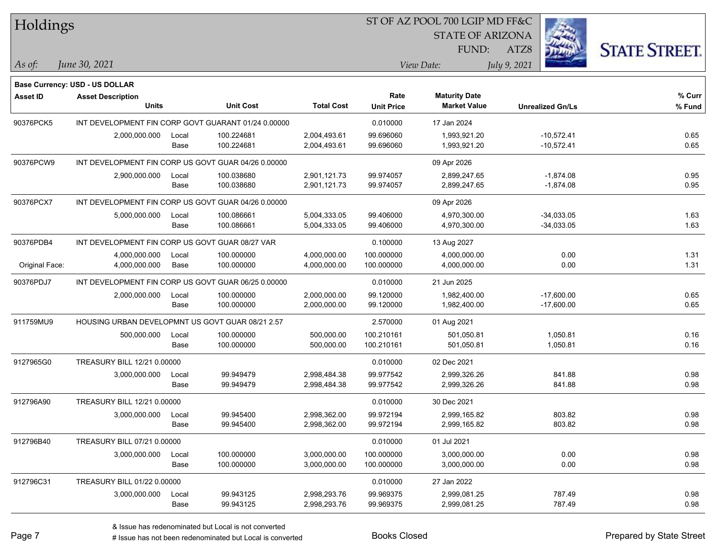| Holdings        |                                                  |       |                                                     |                   | ST OF AZ POOL 700 LGIP MD FF&C |                                             |                         |                      |  |  |
|-----------------|--------------------------------------------------|-------|-----------------------------------------------------|-------------------|--------------------------------|---------------------------------------------|-------------------------|----------------------|--|--|
|                 |                                                  |       |                                                     |                   |                                | <b>STATE OF ARIZONA</b>                     |                         |                      |  |  |
|                 |                                                  |       |                                                     |                   |                                | FUND:                                       | ATZ8                    | <b>STATE STREET.</b> |  |  |
| As of:          | June 30, 2021                                    |       |                                                     |                   |                                | View Date:                                  | July 9, 2021            |                      |  |  |
|                 |                                                  |       |                                                     |                   |                                |                                             |                         |                      |  |  |
|                 | Base Currency: USD - US DOLLAR                   |       |                                                     |                   | Rate                           |                                             |                         | % Curr               |  |  |
| <b>Asset ID</b> | <b>Asset Description</b><br><b>Units</b>         |       | <b>Unit Cost</b>                                    | <b>Total Cost</b> | <b>Unit Price</b>              | <b>Maturity Date</b><br><b>Market Value</b> | <b>Unrealized Gn/Ls</b> | % Fund               |  |  |
| 90376PCK5       |                                                  |       | INT DEVELOPMENT FIN CORP GOVT GUARANT 01/24 0.00000 |                   | 0.010000                       | 17 Jan 2024                                 |                         |                      |  |  |
|                 | 2,000,000.000                                    | Local | 100.224681                                          | 2,004,493.61      | 99.696060                      | 1,993,921.20                                | $-10,572.41$            | 0.65                 |  |  |
|                 |                                                  | Base  | 100.224681                                          | 2,004,493.61      | 99.696060                      | 1,993,921.20                                | $-10,572.41$            | 0.65                 |  |  |
| 90376PCW9       |                                                  |       | INT DEVELOPMENT FIN CORP US GOVT GUAR 04/26 0.00000 |                   |                                | 09 Apr 2026                                 |                         |                      |  |  |
|                 | 2,900,000.000                                    | Local | 100.038680                                          | 2,901,121.73      | 99.974057                      | 2,899,247.65                                | $-1,874.08$             | 0.95                 |  |  |
|                 |                                                  | Base  | 100.038680                                          | 2,901,121.73      | 99.974057                      | 2,899,247.65                                | $-1,874.08$             | 0.95                 |  |  |
| 90376PCX7       |                                                  |       | INT DEVELOPMENT FIN CORP US GOVT GUAR 04/26 0.00000 |                   |                                | 09 Apr 2026                                 |                         |                      |  |  |
|                 | 5,000,000.000                                    | Local | 100.086661                                          | 5,004,333.05      | 99.406000                      | 4,970,300.00                                | $-34,033.05$            | 1.63                 |  |  |
|                 |                                                  | Base  | 100.086661                                          | 5,004,333.05      | 99.406000                      | 4,970,300.00                                | $-34,033.05$            | 1.63                 |  |  |
| 90376PDB4       | INT DEVELOPMENT FIN CORP US GOVT GUAR 08/27 VAR  |       |                                                     |                   | 0.100000                       | 13 Aug 2027                                 |                         |                      |  |  |
|                 | 4,000,000.000                                    | Local | 100.000000                                          | 4,000,000.00      | 100.000000                     | 4,000,000.00                                | 0.00                    | 1.31                 |  |  |
| Original Face:  | 4,000,000.000                                    | Base  | 100.000000                                          | 4,000,000.00      | 100.000000                     | 4,000,000.00                                | 0.00                    | 1.31                 |  |  |
| 90376PDJ7       |                                                  |       | INT DEVELOPMENT FIN CORP US GOVT GUAR 06/25 0.00000 |                   | 0.010000                       | 21 Jun 2025                                 |                         |                      |  |  |
|                 | 2,000,000.000                                    | Local | 100.000000                                          | 2,000,000.00      | 99.120000                      | 1,982,400.00                                | $-17,600.00$            | 0.65                 |  |  |
|                 |                                                  | Base  | 100.000000                                          | 2,000,000.00      | 99.120000                      | 1,982,400.00                                | $-17,600.00$            | 0.65                 |  |  |
| 911759MU9       | HOUSING URBAN DEVELOPMNT US GOVT GUAR 08/21 2.57 |       |                                                     |                   | 2.570000                       | 01 Aug 2021                                 |                         |                      |  |  |
|                 | 500,000.000                                      | Local | 100.000000                                          | 500,000.00        | 100.210161                     | 501,050.81                                  | 1,050.81                | 0.16                 |  |  |
|                 |                                                  | Base  | 100.000000                                          | 500,000.00        | 100.210161                     | 501,050.81                                  | 1,050.81                | 0.16                 |  |  |
| 9127965G0       | TREASURY BILL 12/21 0.00000                      |       |                                                     |                   | 0.010000                       | 02 Dec 2021                                 |                         |                      |  |  |
|                 | 3,000,000.000                                    | Local | 99.949479                                           | 2,998,484.38      | 99.977542                      | 2,999,326.26                                | 841.88                  | 0.98                 |  |  |
|                 |                                                  | Base  | 99.949479                                           | 2,998,484.38      | 99.977542                      | 2,999,326.26                                | 841.88                  | 0.98                 |  |  |
| 912796A90       | TREASURY BILL 12/21 0.00000                      |       |                                                     |                   | 0.010000                       | 30 Dec 2021                                 |                         |                      |  |  |
|                 | 3,000,000.000                                    | Local | 99.945400                                           | 2,998,362.00      | 99.972194                      | 2,999,165.82                                | 803.82                  | 0.98                 |  |  |
|                 |                                                  | Base  | 99.945400                                           | 2,998,362.00      | 99.972194                      | 2,999,165.82                                | 803.82                  | 0.98                 |  |  |
| 912796B40       | TREASURY BILL 07/21 0.00000                      |       |                                                     |                   | 0.010000                       | 01 Jul 2021                                 |                         |                      |  |  |
|                 | 3,000,000.000                                    | Local | 100.000000                                          | 3,000,000.00      | 100.000000                     | 3,000,000.00                                | 0.00                    | 0.98                 |  |  |
|                 |                                                  | Base  | 100.000000                                          | 3,000,000.00      | 100.000000                     | 3,000,000.00                                | 0.00                    | 0.98                 |  |  |
| 912796C31       | TREASURY BILL 01/22 0.00000                      |       |                                                     |                   | 0.010000                       | 27 Jan 2022                                 |                         |                      |  |  |
|                 | 3,000,000.000                                    | Local | 99.943125                                           | 2,998,293.76      | 99.969375                      | 2,999,081.25                                | 787.49                  | 0.98                 |  |  |
|                 |                                                  | Base  | 99.943125                                           | 2,998,293.76      | 99.969375                      | 2,999,081.25                                | 787.49                  | 0.98                 |  |  |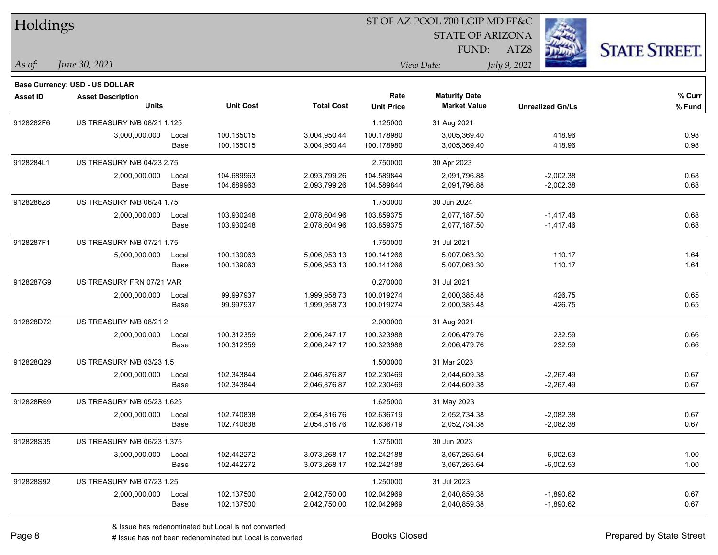| Holdings        |                                       |       |                  |                   | ST OF AZ POOL 700 LGIP MD FF&C |                         |                         |                      |  |  |
|-----------------|---------------------------------------|-------|------------------|-------------------|--------------------------------|-------------------------|-------------------------|----------------------|--|--|
|                 |                                       |       |                  |                   |                                | <b>STATE OF ARIZONA</b> |                         |                      |  |  |
|                 |                                       |       |                  |                   |                                | FUND:                   | ATZ8                    | <b>STATE STREET.</b> |  |  |
| As of:          | June 30, 2021                         |       |                  |                   |                                | View Date:              | July 9, 2021            |                      |  |  |
|                 | <b>Base Currency: USD - US DOLLAR</b> |       |                  |                   |                                |                         |                         |                      |  |  |
| <b>Asset ID</b> | <b>Asset Description</b>              |       |                  |                   | Rate                           | <b>Maturity Date</b>    |                         | % Curr               |  |  |
|                 | <b>Units</b>                          |       | <b>Unit Cost</b> | <b>Total Cost</b> | <b>Unit Price</b>              | <b>Market Value</b>     | <b>Unrealized Gn/Ls</b> | % Fund               |  |  |
| 9128282F6       | US TREASURY N/B 08/21 1.125           |       |                  |                   | 1.125000                       | 31 Aug 2021             |                         |                      |  |  |
|                 | 3,000,000.000                         | Local | 100.165015       | 3,004,950.44      | 100.178980                     | 3,005,369.40            | 418.96                  | 0.98                 |  |  |
|                 |                                       | Base  | 100.165015       | 3,004,950.44      | 100.178980                     | 3,005,369.40            | 418.96                  | 0.98                 |  |  |
| 9128284L1       | US TREASURY N/B 04/23 2.75            |       |                  |                   | 2.750000                       | 30 Apr 2023             |                         |                      |  |  |
|                 | 2,000,000.000                         | Local | 104.689963       | 2,093,799.26      | 104.589844                     | 2,091,796.88            | $-2,002.38$             | 0.68                 |  |  |
|                 |                                       | Base  | 104.689963       | 2,093,799.26      | 104.589844                     | 2,091,796.88            | $-2,002.38$             | 0.68                 |  |  |
| 9128286Z8       | US TREASURY N/B 06/24 1.75            |       |                  |                   | 1.750000                       | 30 Jun 2024             |                         |                      |  |  |
|                 | 2,000,000.000                         | Local | 103.930248       | 2,078,604.96      | 103.859375                     | 2,077,187.50            | $-1,417.46$             | 0.68                 |  |  |
|                 |                                       | Base  | 103.930248       | 2,078,604.96      | 103.859375                     | 2,077,187.50            | $-1,417.46$             | 0.68                 |  |  |
| 9128287F1       | US TREASURY N/B 07/21 1.75            |       |                  |                   | 1.750000                       | 31 Jul 2021             |                         |                      |  |  |
|                 | 5,000,000.000                         | Local | 100.139063       | 5,006,953.13      | 100.141266                     | 5,007,063.30            | 110.17                  | 1.64                 |  |  |
|                 |                                       | Base  | 100.139063       | 5,006,953.13      | 100.141266                     | 5,007,063.30            | 110.17                  | 1.64                 |  |  |
| 9128287G9       | US TREASURY FRN 07/21 VAR             |       |                  |                   | 0.270000                       | 31 Jul 2021             |                         |                      |  |  |
|                 | 2,000,000.000                         | Local | 99.997937        | 1,999,958.73      | 100.019274                     | 2,000,385.48            | 426.75                  | 0.65                 |  |  |
|                 |                                       | Base  | 99.997937        | 1,999,958.73      | 100.019274                     | 2,000,385.48            | 426.75                  | 0.65                 |  |  |
| 912828D72       | US TREASURY N/B 08/21 2               |       |                  |                   | 2.000000                       | 31 Aug 2021             |                         |                      |  |  |
|                 | 2,000,000.000                         | Local | 100.312359       | 2,006,247.17      | 100.323988                     | 2,006,479.76            | 232.59                  | 0.66                 |  |  |
|                 |                                       | Base  | 100.312359       | 2,006,247.17      | 100.323988                     | 2,006,479.76            | 232.59                  | 0.66                 |  |  |
| 912828Q29       | US TREASURY N/B 03/23 1.5             |       |                  |                   | 1.500000                       | 31 Mar 2023             |                         |                      |  |  |
|                 | 2,000,000.000                         | Local | 102.343844       | 2,046,876.87      | 102.230469                     | 2,044,609.38            | $-2,267.49$             | 0.67                 |  |  |
|                 |                                       | Base  | 102.343844       | 2,046,876.87      | 102.230469                     | 2,044,609.38            | $-2,267.49$             | 0.67                 |  |  |
| 912828R69       | <b>US TREASURY N/B 05/23 1.625</b>    |       |                  |                   | 1.625000                       | 31 May 2023             |                         |                      |  |  |
|                 | 2,000,000.000                         | Local | 102.740838       | 2,054,816.76      | 102.636719                     | 2,052,734.38            | $-2,082.38$             | 0.67                 |  |  |
|                 |                                       | Base  | 102.740838       | 2,054,816.76      | 102.636719                     | 2,052,734.38            | $-2,082.38$             | 0.67                 |  |  |
| 912828S35       | US TREASURY N/B 06/23 1.375           |       |                  |                   | 1.375000                       | 30 Jun 2023             |                         |                      |  |  |
|                 | 3,000,000.000                         | Local | 102.442272       | 3,073,268.17      | 102.242188                     | 3,067,265.64            | $-6,002.53$             | 1.00                 |  |  |
|                 |                                       | Base  | 102.442272       | 3,073,268.17      | 102.242188                     | 3,067,265.64            | $-6,002.53$             | 1.00                 |  |  |
| 912828S92       | US TREASURY N/B 07/23 1.25            |       |                  |                   | 1.250000                       | 31 Jul 2023             |                         |                      |  |  |
|                 | 2,000,000.000                         | Local | 102.137500       | 2,042,750.00      | 102.042969                     | 2,040,859.38            | $-1,890.62$             | 0.67                 |  |  |
|                 |                                       | Base  | 102.137500       | 2,042,750.00      | 102.042969                     | 2,040,859.38            | $-1,890.62$             | 0.67                 |  |  |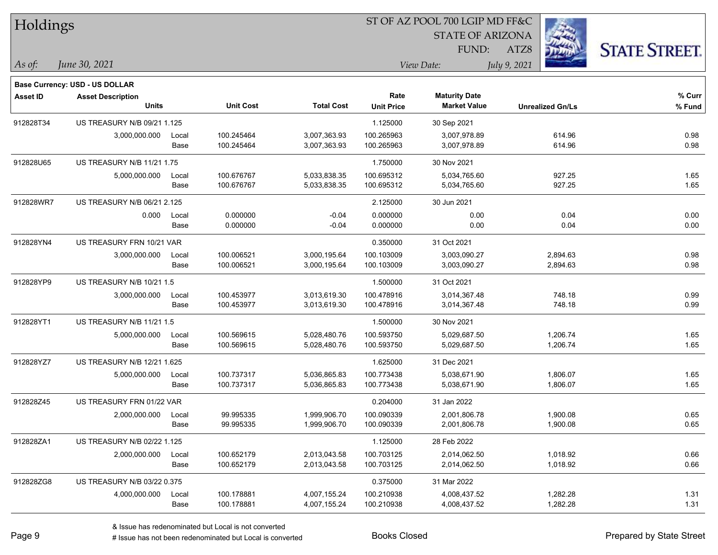| Holdings       |                                          |               |                          |                              | ST OF AZ POOL 700 LGIP MD FF&C |                                             |                         |                      |  |  |
|----------------|------------------------------------------|---------------|--------------------------|------------------------------|--------------------------------|---------------------------------------------|-------------------------|----------------------|--|--|
|                |                                          |               |                          |                              |                                | <b>STATE OF ARIZONA</b>                     |                         |                      |  |  |
|                |                                          |               |                          |                              |                                | FUND:                                       | ATZ8                    | <b>STATE STREET.</b> |  |  |
| $\vert$ As of: | June 30, 2021                            |               |                          |                              |                                | View Date:                                  | July 9, 2021            |                      |  |  |
|                |                                          |               |                          |                              |                                |                                             |                         |                      |  |  |
|                | Base Currency: USD - US DOLLAR           |               |                          |                              |                                |                                             |                         |                      |  |  |
| Asset ID       | <b>Asset Description</b><br><b>Units</b> |               | <b>Unit Cost</b>         | <b>Total Cost</b>            | Rate<br><b>Unit Price</b>      | <b>Maturity Date</b><br><b>Market Value</b> | <b>Unrealized Gn/Ls</b> | % Curr<br>% Fund     |  |  |
| 912828T34      | US TREASURY N/B 09/21 1.125              |               |                          |                              | 1.125000                       | 30 Sep 2021                                 |                         |                      |  |  |
|                |                                          |               |                          |                              |                                |                                             |                         |                      |  |  |
|                | 3,000,000.000                            | Local<br>Base | 100.245464<br>100.245464 | 3,007,363.93<br>3,007,363.93 | 100.265963<br>100.265963       | 3,007,978.89<br>3,007,978.89                | 614.96<br>614.96        | 0.98<br>0.98         |  |  |
| 912828U65      | US TREASURY N/B 11/21 1.75               |               |                          |                              | 1.750000                       | 30 Nov 2021                                 |                         |                      |  |  |
|                | 5,000,000.000                            | Local         | 100.676767               | 5,033,838.35                 | 100.695312                     | 5,034,765.60                                | 927.25                  | 1.65                 |  |  |
|                |                                          | Base          | 100.676767               | 5,033,838.35                 | 100.695312                     | 5,034,765.60                                | 927.25                  | 1.65                 |  |  |
| 912828WR7      | US TREASURY N/B 06/21 2.125              |               |                          |                              | 2.125000                       | 30 Jun 2021                                 |                         |                      |  |  |
|                | 0.000                                    | Local         | 0.000000                 | $-0.04$                      | 0.000000                       | 0.00                                        | 0.04                    | 0.00                 |  |  |
|                |                                          | Base          | 0.000000                 | $-0.04$                      | 0.000000                       | 0.00                                        | 0.04                    | 0.00                 |  |  |
| 912828YN4      | US TREASURY FRN 10/21 VAR                |               |                          |                              | 0.350000                       | 31 Oct 2021                                 |                         |                      |  |  |
|                | 3,000,000.000                            | Local         | 100.006521               | 3,000,195.64                 | 100.103009                     | 3,003,090.27                                | 2,894.63                | 0.98                 |  |  |
|                |                                          | Base          | 100.006521               | 3,000,195.64                 | 100.103009                     | 3,003,090.27                                | 2,894.63                | 0.98                 |  |  |
| 912828YP9      | US TREASURY N/B 10/21 1.5                |               |                          |                              | 1.500000                       | 31 Oct 2021                                 |                         |                      |  |  |
|                | 3,000,000.000                            | Local         | 100.453977               | 3,013,619.30                 | 100.478916                     | 3,014,367.48                                | 748.18                  | 0.99                 |  |  |
|                |                                          | Base          | 100.453977               | 3,013,619.30                 | 100.478916                     | 3,014,367.48                                | 748.18                  | 0.99                 |  |  |
| 912828YT1      | US TREASURY N/B 11/21 1.5                |               |                          |                              | 1.500000                       | 30 Nov 2021                                 |                         |                      |  |  |
|                | 5,000,000.000                            | Local         | 100.569615               | 5,028,480.76                 | 100.593750                     | 5,029,687.50                                | 1,206.74                | 1.65                 |  |  |
|                |                                          | Base          | 100.569615               | 5,028,480.76                 | 100.593750                     | 5,029,687.50                                | 1,206.74                | 1.65                 |  |  |
| 912828YZ7      | US TREASURY N/B 12/21 1.625              |               |                          |                              | 1.625000                       | 31 Dec 2021                                 |                         |                      |  |  |
|                | 5,000,000.000                            | Local         | 100.737317               | 5,036,865.83                 | 100.773438                     | 5,038,671.90                                | 1,806.07                | 1.65                 |  |  |
|                |                                          | Base          | 100.737317               | 5,036,865.83                 | 100.773438                     | 5,038,671.90                                | 1,806.07                | 1.65                 |  |  |
| 912828Z45      | US TREASURY FRN 01/22 VAR                |               |                          |                              | 0.204000                       | 31 Jan 2022                                 |                         |                      |  |  |
|                | 2,000,000.000                            | Local         | 99.995335                | 1,999,906.70                 | 100.090339                     | 2,001,806.78                                | 1,900.08                | 0.65                 |  |  |
|                |                                          | Base          | 99.995335                | 1,999,906.70                 | 100.090339                     | 2,001,806.78                                | 1,900.08                | 0.65                 |  |  |
| 912828ZA1      | US TREASURY N/B 02/22 1.125              |               |                          |                              | 1.125000                       | 28 Feb 2022                                 |                         |                      |  |  |
|                | 2,000,000.000                            | Local         | 100.652179               | 2,013,043.58                 | 100.703125                     | 2,014,062.50                                | 1,018.92                | 0.66                 |  |  |
|                |                                          | Base          | 100.652179               | 2,013,043.58                 | 100.703125                     | 2,014,062.50                                | 1,018.92                | 0.66                 |  |  |
| 912828ZG8      | US TREASURY N/B 03/22 0.375              |               |                          |                              | 0.375000                       | 31 Mar 2022                                 |                         |                      |  |  |
|                | 4,000,000.000                            | Local         | 100.178881               | 4,007,155.24                 | 100.210938                     | 4,008,437.52                                | 1,282.28                | 1.31                 |  |  |
|                |                                          | Base          | 100.178881               | 4,007,155.24                 | 100.210938                     | 4,008,437.52                                | 1,282.28                | 1.31                 |  |  |
|                |                                          |               |                          |                              |                                |                                             |                         |                      |  |  |

# Issue has not been redenominated but Local is converted Books Closed Prepared by State Street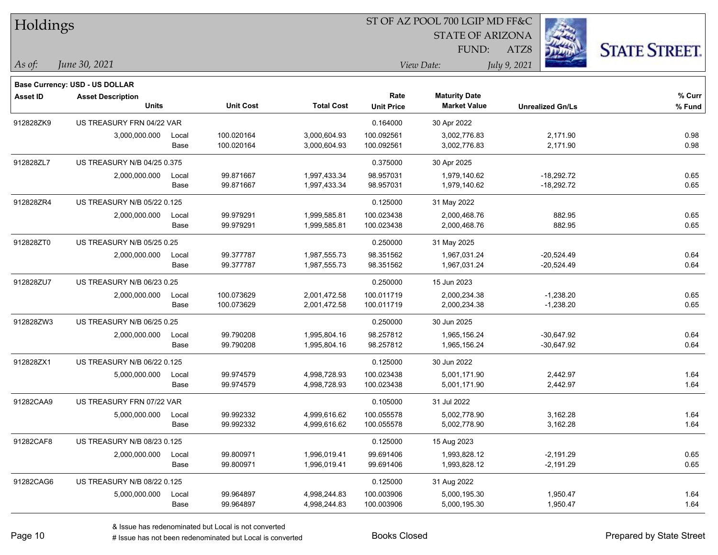| Holdings        |                                       |       |                  |                   | ST OF AZ POOL 700 LGIP MD FF&C |                         |                         |                      |  |  |
|-----------------|---------------------------------------|-------|------------------|-------------------|--------------------------------|-------------------------|-------------------------|----------------------|--|--|
|                 |                                       |       |                  |                   |                                | <b>STATE OF ARIZONA</b> |                         |                      |  |  |
|                 |                                       |       |                  |                   |                                | FUND:                   | ATZ8                    | <b>STATE STREET.</b> |  |  |
| As of:          | June 30, 2021                         |       |                  |                   |                                | View Date:              | July 9, 2021            |                      |  |  |
|                 | <b>Base Currency: USD - US DOLLAR</b> |       |                  |                   |                                |                         |                         |                      |  |  |
| <b>Asset ID</b> | <b>Asset Description</b>              |       |                  |                   | Rate                           | <b>Maturity Date</b>    |                         | % Curr               |  |  |
|                 | <b>Units</b>                          |       | <b>Unit Cost</b> | <b>Total Cost</b> | <b>Unit Price</b>              | <b>Market Value</b>     | <b>Unrealized Gn/Ls</b> | % Fund               |  |  |
| 912828ZK9       | US TREASURY FRN 04/22 VAR             |       |                  |                   | 0.164000                       | 30 Apr 2022             |                         |                      |  |  |
|                 | 3,000,000.000                         | Local | 100.020164       | 3,000,604.93      | 100.092561                     | 3,002,776.83            | 2,171.90                | 0.98                 |  |  |
|                 |                                       | Base  | 100.020164       | 3,000,604.93      | 100.092561                     | 3,002,776.83            | 2,171.90                | 0.98                 |  |  |
| 912828ZL7       | US TREASURY N/B 04/25 0.375           |       |                  |                   | 0.375000                       | 30 Apr 2025             |                         |                      |  |  |
|                 | 2,000,000.000                         | Local | 99.871667        | 1,997,433.34      | 98.957031                      | 1,979,140.62            | $-18,292.72$            | 0.65                 |  |  |
|                 |                                       | Base  | 99.871667        | 1,997,433.34      | 98.957031                      | 1,979,140.62            | $-18,292.72$            | 0.65                 |  |  |
| 912828ZR4       | US TREASURY N/B 05/22 0.125           |       |                  |                   | 0.125000                       | 31 May 2022             |                         |                      |  |  |
|                 | 2,000,000.000                         | Local | 99.979291        | 1,999,585.81      | 100.023438                     | 2,000,468.76            | 882.95                  | 0.65                 |  |  |
|                 |                                       | Base  | 99.979291        | 1,999,585.81      | 100.023438                     | 2,000,468.76            | 882.95                  | 0.65                 |  |  |
| 912828ZT0       | US TREASURY N/B 05/25 0.25            |       |                  |                   | 0.250000                       | 31 May 2025             |                         |                      |  |  |
|                 | 2,000,000.000                         | Local | 99.377787        | 1,987,555.73      | 98.351562                      | 1,967,031.24            | $-20,524.49$            | 0.64                 |  |  |
|                 |                                       | Base  | 99.377787        | 1,987,555.73      | 98.351562                      | 1,967,031.24            | $-20,524.49$            | 0.64                 |  |  |
| 912828ZU7       | US TREASURY N/B 06/23 0.25            |       |                  |                   | 0.250000                       | 15 Jun 2023             |                         |                      |  |  |
|                 | 2,000,000.000                         | Local | 100.073629       | 2,001,472.58      | 100.011719                     | 2,000,234.38            | $-1,238.20$             | 0.65                 |  |  |
|                 |                                       | Base  | 100.073629       | 2,001,472.58      | 100.011719                     | 2,000,234.38            | $-1,238.20$             | 0.65                 |  |  |
| 912828ZW3       | US TREASURY N/B 06/25 0.25            |       |                  |                   | 0.250000                       | 30 Jun 2025             |                         |                      |  |  |
|                 | 2,000,000.000                         | Local | 99.790208        | 1,995,804.16      | 98.257812                      | 1,965,156.24            | $-30,647.92$            | 0.64                 |  |  |
|                 |                                       | Base  | 99.790208        | 1,995,804.16      | 98.257812                      | 1,965,156.24            | $-30,647.92$            | 0.64                 |  |  |
| 912828ZX1       | US TREASURY N/B 06/22 0.125           |       |                  |                   | 0.125000                       | 30 Jun 2022             |                         |                      |  |  |
|                 | 5,000,000.000                         | Local | 99.974579        | 4,998,728.93      | 100.023438                     | 5,001,171.90            | 2,442.97                | 1.64                 |  |  |
|                 |                                       | Base  | 99.974579        | 4,998,728.93      | 100.023438                     | 5,001,171.90            | 2,442.97                | 1.64                 |  |  |
| 91282CAA9       | US TREASURY FRN 07/22 VAR             |       |                  |                   | 0.105000                       | 31 Jul 2022             |                         |                      |  |  |
|                 | 5,000,000.000                         | Local | 99.992332        | 4,999,616.62      | 100.055578                     | 5,002,778.90            | 3,162.28                | 1.64                 |  |  |
|                 |                                       | Base  | 99.992332        | 4,999,616.62      | 100.055578                     | 5,002,778.90            | 3,162.28                | 1.64                 |  |  |
| 91282CAF8       | US TREASURY N/B 08/23 0.125           |       |                  |                   | 0.125000                       | 15 Aug 2023             |                         |                      |  |  |
|                 | 2,000,000.000                         | Local | 99.800971        | 1,996,019.41      | 99.691406                      | 1,993,828.12            | $-2,191.29$             | 0.65                 |  |  |
|                 |                                       | Base  | 99.800971        | 1,996,019.41      | 99.691406                      | 1,993,828.12            | $-2,191.29$             | 0.65                 |  |  |
| 91282CAG6       | US TREASURY N/B 08/22 0.125           |       |                  |                   | 0.125000                       | 31 Aug 2022             |                         |                      |  |  |
|                 | 5,000,000.000                         | Local | 99.964897        | 4,998,244.83      | 100.003906                     | 5,000,195.30            | 1,950.47                | 1.64                 |  |  |
|                 |                                       | Base  | 99.964897        | 4,998,244.83      | 100.003906                     | 5,000,195.30            | 1,950.47                | 1.64                 |  |  |
|                 |                                       |       |                  |                   |                                |                         |                         |                      |  |  |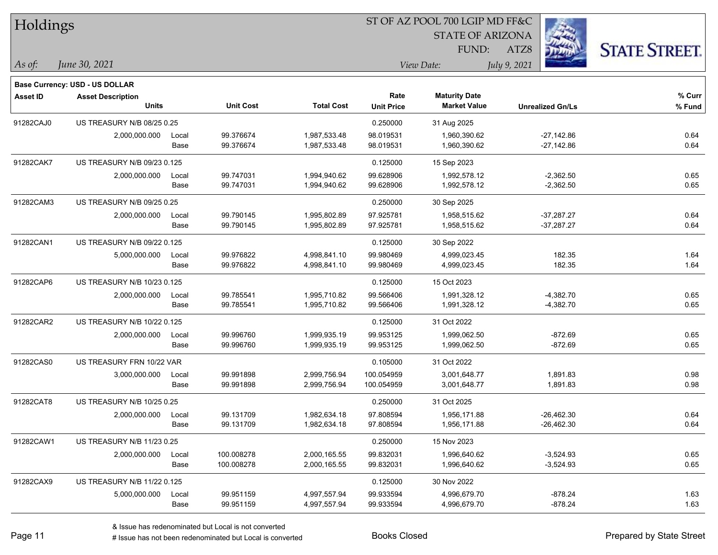| <b>STATE OF ARIZONA</b><br><b>STATE STREET.</b><br>FUND:<br>ATZ8<br>June 30, 2021<br>As of:<br>July 9, 2021<br>View Date:<br><b>Base Currency: USD - US DOLLAR</b><br>Rate<br><b>Maturity Date</b><br>% Curr<br><b>Asset ID</b><br><b>Asset Description</b><br><b>Unit Cost</b><br><b>Total Cost</b><br><b>Units</b><br><b>Market Value</b><br><b>Unit Price</b><br><b>Unrealized Gn/Ls</b><br>% Fund<br>91282CAJ0<br>US TREASURY N/B 08/25 0.25<br>0.250000<br>31 Aug 2025<br>99.376674<br>2,000,000.000<br>1,987,533.48<br>98.019531<br>$-27,142.86$<br>0.64<br>1,960,390.62<br>Local<br>0.64<br>99.376674<br>98.019531<br>1,960,390.62<br>$-27,142.86$<br>Base<br>1,987,533.48<br>91282CAK7<br>US TREASURY N/B 09/23 0.125<br>0.125000<br>15 Sep 2023<br>0.65<br>99.747031<br>99.628906<br>$-2,362.50$<br>2,000,000.000<br>1,994,940.62<br>1,992,578.12<br>Local<br>Base<br>99.747031<br>99.628906<br>1,992,578.12<br>$-2,362.50$<br>0.65<br>1,994,940.62<br>91282CAM3<br>US TREASURY N/B 09/25 0.25<br>0.250000<br>30 Sep 2025<br>99.790145<br>1,995,802.89<br>97.925781<br>$-37,287.27$<br>0.64<br>2,000,000.000<br>Local<br>1,958,515.62<br>99.790145<br>97.925781<br>1,958,515.62<br>$-37,287.27$<br>0.64<br>Base<br>1,995,802.89<br>91282CAN1<br>US TREASURY N/B 09/22 0.125<br>0.125000<br>30 Sep 2022<br>99.976822<br>182.35<br>5,000,000.000<br>4,998,841.10<br>99.980469<br>4,999,023.45<br>1.64<br>Local<br>182.35<br>1.64<br>99.976822<br>99.980469<br>4,999,023.45<br>Base<br>4,998,841.10<br>US TREASURY N/B 10/23 0.125<br>0.125000<br>91282CAP6<br>15 Oct 2023<br>0.65<br>99.785541<br>1,995,710.82<br>99.566406<br>$-4,382.70$<br>2,000,000.000<br>1,991,328.12<br>Local<br>Base<br>99.785541<br>1,995,710.82<br>1,991,328.12<br>$-4,382.70$<br>0.65<br>99.566406<br>91282CAR2<br>US TREASURY N/B 10/22 0.125<br>0.125000<br>31 Oct 2022<br>99.996760<br>$-872.69$<br>1,999,935.19<br>99.953125<br>1,999,062.50<br>0.65<br>2,000,000.000<br>Local<br>99.996760<br>99.953125<br>1,999,062.50<br>$-872.69$<br>0.65<br>Base<br>1,999,935.19<br>91282CAS0<br>US TREASURY FRN 10/22 VAR<br>0.105000<br>31 Oct 2022<br>99.991898<br>3,000,000.000<br>2,999,756.94<br>100.054959<br>3,001,648.77<br>1,891.83<br>0.98<br>Local<br>0.98<br>99.991898<br>Base<br>2,999,756.94<br>100.054959<br>3,001,648.77<br>1,891.83<br>91282CAT8<br>US TREASURY N/B 10/25 0.25<br>0.250000<br>31 Oct 2025<br>0.64<br>2,000,000.000<br>99.131709<br>1,982,634.18<br>97.808594<br>1,956,171.88<br>$-26.462.30$<br>Local<br>$-26,462.30$<br>0.64<br>Base<br>99.131709<br>1,982,634.18<br>97.808594<br>1,956,171.88<br>91282CAW1<br>US TREASURY N/B 11/23 0.25<br>0.250000<br>15 Nov 2023<br>99.832031<br>0.65<br>2,000,000.000<br>100.008278<br>2,000,165.55<br>1,996,640.62<br>$-3,524.93$<br>Local<br>Base<br>100.008278<br>99.832031<br>0.65<br>2,000,165.55<br>1,996,640.62<br>$-3,524.93$<br>91282CAX9<br>US TREASURY N/B 11/22 0.125<br>0.125000<br>30 Nov 2022<br>99.951159<br>99.933594<br>$-878.24$<br>1.63<br>5,000,000.000<br>4,997,557.94<br>4,996,679.70<br>Local<br>$-878.24$<br>99.951159<br>99.933594<br>4,996,679.70<br>1.63<br>Base<br>4,997,557.94 | Holdings |  |  | ST OF AZ POOL 700 LGIP MD FF&C |  |  |  |  |  |
|-----------------------------------------------------------------------------------------------------------------------------------------------------------------------------------------------------------------------------------------------------------------------------------------------------------------------------------------------------------------------------------------------------------------------------------------------------------------------------------------------------------------------------------------------------------------------------------------------------------------------------------------------------------------------------------------------------------------------------------------------------------------------------------------------------------------------------------------------------------------------------------------------------------------------------------------------------------------------------------------------------------------------------------------------------------------------------------------------------------------------------------------------------------------------------------------------------------------------------------------------------------------------------------------------------------------------------------------------------------------------------------------------------------------------------------------------------------------------------------------------------------------------------------------------------------------------------------------------------------------------------------------------------------------------------------------------------------------------------------------------------------------------------------------------------------------------------------------------------------------------------------------------------------------------------------------------------------------------------------------------------------------------------------------------------------------------------------------------------------------------------------------------------------------------------------------------------------------------------------------------------------------------------------------------------------------------------------------------------------------------------------------------------------------------------------------------------------------------------------------------------------------------------------------------------------------------------------------------------------------------------------------------------------------------------------------------------------------------------------------------------------------------------------------------------------------------------------------------------------------------------------------------------------------------------------------------------------------------------------------------------------------------------------------------------------------------------------------------------------------------------------------------------------------|----------|--|--|--------------------------------|--|--|--|--|--|
|                                                                                                                                                                                                                                                                                                                                                                                                                                                                                                                                                                                                                                                                                                                                                                                                                                                                                                                                                                                                                                                                                                                                                                                                                                                                                                                                                                                                                                                                                                                                                                                                                                                                                                                                                                                                                                                                                                                                                                                                                                                                                                                                                                                                                                                                                                                                                                                                                                                                                                                                                                                                                                                                                                                                                                                                                                                                                                                                                                                                                                                                                                                                                                 |          |  |  |                                |  |  |  |  |  |
|                                                                                                                                                                                                                                                                                                                                                                                                                                                                                                                                                                                                                                                                                                                                                                                                                                                                                                                                                                                                                                                                                                                                                                                                                                                                                                                                                                                                                                                                                                                                                                                                                                                                                                                                                                                                                                                                                                                                                                                                                                                                                                                                                                                                                                                                                                                                                                                                                                                                                                                                                                                                                                                                                                                                                                                                                                                                                                                                                                                                                                                                                                                                                                 |          |  |  |                                |  |  |  |  |  |
|                                                                                                                                                                                                                                                                                                                                                                                                                                                                                                                                                                                                                                                                                                                                                                                                                                                                                                                                                                                                                                                                                                                                                                                                                                                                                                                                                                                                                                                                                                                                                                                                                                                                                                                                                                                                                                                                                                                                                                                                                                                                                                                                                                                                                                                                                                                                                                                                                                                                                                                                                                                                                                                                                                                                                                                                                                                                                                                                                                                                                                                                                                                                                                 |          |  |  |                                |  |  |  |  |  |
|                                                                                                                                                                                                                                                                                                                                                                                                                                                                                                                                                                                                                                                                                                                                                                                                                                                                                                                                                                                                                                                                                                                                                                                                                                                                                                                                                                                                                                                                                                                                                                                                                                                                                                                                                                                                                                                                                                                                                                                                                                                                                                                                                                                                                                                                                                                                                                                                                                                                                                                                                                                                                                                                                                                                                                                                                                                                                                                                                                                                                                                                                                                                                                 |          |  |  |                                |  |  |  |  |  |
|                                                                                                                                                                                                                                                                                                                                                                                                                                                                                                                                                                                                                                                                                                                                                                                                                                                                                                                                                                                                                                                                                                                                                                                                                                                                                                                                                                                                                                                                                                                                                                                                                                                                                                                                                                                                                                                                                                                                                                                                                                                                                                                                                                                                                                                                                                                                                                                                                                                                                                                                                                                                                                                                                                                                                                                                                                                                                                                                                                                                                                                                                                                                                                 |          |  |  |                                |  |  |  |  |  |
|                                                                                                                                                                                                                                                                                                                                                                                                                                                                                                                                                                                                                                                                                                                                                                                                                                                                                                                                                                                                                                                                                                                                                                                                                                                                                                                                                                                                                                                                                                                                                                                                                                                                                                                                                                                                                                                                                                                                                                                                                                                                                                                                                                                                                                                                                                                                                                                                                                                                                                                                                                                                                                                                                                                                                                                                                                                                                                                                                                                                                                                                                                                                                                 |          |  |  |                                |  |  |  |  |  |
|                                                                                                                                                                                                                                                                                                                                                                                                                                                                                                                                                                                                                                                                                                                                                                                                                                                                                                                                                                                                                                                                                                                                                                                                                                                                                                                                                                                                                                                                                                                                                                                                                                                                                                                                                                                                                                                                                                                                                                                                                                                                                                                                                                                                                                                                                                                                                                                                                                                                                                                                                                                                                                                                                                                                                                                                                                                                                                                                                                                                                                                                                                                                                                 |          |  |  |                                |  |  |  |  |  |
|                                                                                                                                                                                                                                                                                                                                                                                                                                                                                                                                                                                                                                                                                                                                                                                                                                                                                                                                                                                                                                                                                                                                                                                                                                                                                                                                                                                                                                                                                                                                                                                                                                                                                                                                                                                                                                                                                                                                                                                                                                                                                                                                                                                                                                                                                                                                                                                                                                                                                                                                                                                                                                                                                                                                                                                                                                                                                                                                                                                                                                                                                                                                                                 |          |  |  |                                |  |  |  |  |  |
|                                                                                                                                                                                                                                                                                                                                                                                                                                                                                                                                                                                                                                                                                                                                                                                                                                                                                                                                                                                                                                                                                                                                                                                                                                                                                                                                                                                                                                                                                                                                                                                                                                                                                                                                                                                                                                                                                                                                                                                                                                                                                                                                                                                                                                                                                                                                                                                                                                                                                                                                                                                                                                                                                                                                                                                                                                                                                                                                                                                                                                                                                                                                                                 |          |  |  |                                |  |  |  |  |  |
|                                                                                                                                                                                                                                                                                                                                                                                                                                                                                                                                                                                                                                                                                                                                                                                                                                                                                                                                                                                                                                                                                                                                                                                                                                                                                                                                                                                                                                                                                                                                                                                                                                                                                                                                                                                                                                                                                                                                                                                                                                                                                                                                                                                                                                                                                                                                                                                                                                                                                                                                                                                                                                                                                                                                                                                                                                                                                                                                                                                                                                                                                                                                                                 |          |  |  |                                |  |  |  |  |  |
|                                                                                                                                                                                                                                                                                                                                                                                                                                                                                                                                                                                                                                                                                                                                                                                                                                                                                                                                                                                                                                                                                                                                                                                                                                                                                                                                                                                                                                                                                                                                                                                                                                                                                                                                                                                                                                                                                                                                                                                                                                                                                                                                                                                                                                                                                                                                                                                                                                                                                                                                                                                                                                                                                                                                                                                                                                                                                                                                                                                                                                                                                                                                                                 |          |  |  |                                |  |  |  |  |  |
|                                                                                                                                                                                                                                                                                                                                                                                                                                                                                                                                                                                                                                                                                                                                                                                                                                                                                                                                                                                                                                                                                                                                                                                                                                                                                                                                                                                                                                                                                                                                                                                                                                                                                                                                                                                                                                                                                                                                                                                                                                                                                                                                                                                                                                                                                                                                                                                                                                                                                                                                                                                                                                                                                                                                                                                                                                                                                                                                                                                                                                                                                                                                                                 |          |  |  |                                |  |  |  |  |  |
|                                                                                                                                                                                                                                                                                                                                                                                                                                                                                                                                                                                                                                                                                                                                                                                                                                                                                                                                                                                                                                                                                                                                                                                                                                                                                                                                                                                                                                                                                                                                                                                                                                                                                                                                                                                                                                                                                                                                                                                                                                                                                                                                                                                                                                                                                                                                                                                                                                                                                                                                                                                                                                                                                                                                                                                                                                                                                                                                                                                                                                                                                                                                                                 |          |  |  |                                |  |  |  |  |  |
|                                                                                                                                                                                                                                                                                                                                                                                                                                                                                                                                                                                                                                                                                                                                                                                                                                                                                                                                                                                                                                                                                                                                                                                                                                                                                                                                                                                                                                                                                                                                                                                                                                                                                                                                                                                                                                                                                                                                                                                                                                                                                                                                                                                                                                                                                                                                                                                                                                                                                                                                                                                                                                                                                                                                                                                                                                                                                                                                                                                                                                                                                                                                                                 |          |  |  |                                |  |  |  |  |  |
|                                                                                                                                                                                                                                                                                                                                                                                                                                                                                                                                                                                                                                                                                                                                                                                                                                                                                                                                                                                                                                                                                                                                                                                                                                                                                                                                                                                                                                                                                                                                                                                                                                                                                                                                                                                                                                                                                                                                                                                                                                                                                                                                                                                                                                                                                                                                                                                                                                                                                                                                                                                                                                                                                                                                                                                                                                                                                                                                                                                                                                                                                                                                                                 |          |  |  |                                |  |  |  |  |  |
|                                                                                                                                                                                                                                                                                                                                                                                                                                                                                                                                                                                                                                                                                                                                                                                                                                                                                                                                                                                                                                                                                                                                                                                                                                                                                                                                                                                                                                                                                                                                                                                                                                                                                                                                                                                                                                                                                                                                                                                                                                                                                                                                                                                                                                                                                                                                                                                                                                                                                                                                                                                                                                                                                                                                                                                                                                                                                                                                                                                                                                                                                                                                                                 |          |  |  |                                |  |  |  |  |  |
|                                                                                                                                                                                                                                                                                                                                                                                                                                                                                                                                                                                                                                                                                                                                                                                                                                                                                                                                                                                                                                                                                                                                                                                                                                                                                                                                                                                                                                                                                                                                                                                                                                                                                                                                                                                                                                                                                                                                                                                                                                                                                                                                                                                                                                                                                                                                                                                                                                                                                                                                                                                                                                                                                                                                                                                                                                                                                                                                                                                                                                                                                                                                                                 |          |  |  |                                |  |  |  |  |  |
|                                                                                                                                                                                                                                                                                                                                                                                                                                                                                                                                                                                                                                                                                                                                                                                                                                                                                                                                                                                                                                                                                                                                                                                                                                                                                                                                                                                                                                                                                                                                                                                                                                                                                                                                                                                                                                                                                                                                                                                                                                                                                                                                                                                                                                                                                                                                                                                                                                                                                                                                                                                                                                                                                                                                                                                                                                                                                                                                                                                                                                                                                                                                                                 |          |  |  |                                |  |  |  |  |  |
|                                                                                                                                                                                                                                                                                                                                                                                                                                                                                                                                                                                                                                                                                                                                                                                                                                                                                                                                                                                                                                                                                                                                                                                                                                                                                                                                                                                                                                                                                                                                                                                                                                                                                                                                                                                                                                                                                                                                                                                                                                                                                                                                                                                                                                                                                                                                                                                                                                                                                                                                                                                                                                                                                                                                                                                                                                                                                                                                                                                                                                                                                                                                                                 |          |  |  |                                |  |  |  |  |  |
|                                                                                                                                                                                                                                                                                                                                                                                                                                                                                                                                                                                                                                                                                                                                                                                                                                                                                                                                                                                                                                                                                                                                                                                                                                                                                                                                                                                                                                                                                                                                                                                                                                                                                                                                                                                                                                                                                                                                                                                                                                                                                                                                                                                                                                                                                                                                                                                                                                                                                                                                                                                                                                                                                                                                                                                                                                                                                                                                                                                                                                                                                                                                                                 |          |  |  |                                |  |  |  |  |  |
|                                                                                                                                                                                                                                                                                                                                                                                                                                                                                                                                                                                                                                                                                                                                                                                                                                                                                                                                                                                                                                                                                                                                                                                                                                                                                                                                                                                                                                                                                                                                                                                                                                                                                                                                                                                                                                                                                                                                                                                                                                                                                                                                                                                                                                                                                                                                                                                                                                                                                                                                                                                                                                                                                                                                                                                                                                                                                                                                                                                                                                                                                                                                                                 |          |  |  |                                |  |  |  |  |  |
|                                                                                                                                                                                                                                                                                                                                                                                                                                                                                                                                                                                                                                                                                                                                                                                                                                                                                                                                                                                                                                                                                                                                                                                                                                                                                                                                                                                                                                                                                                                                                                                                                                                                                                                                                                                                                                                                                                                                                                                                                                                                                                                                                                                                                                                                                                                                                                                                                                                                                                                                                                                                                                                                                                                                                                                                                                                                                                                                                                                                                                                                                                                                                                 |          |  |  |                                |  |  |  |  |  |
|                                                                                                                                                                                                                                                                                                                                                                                                                                                                                                                                                                                                                                                                                                                                                                                                                                                                                                                                                                                                                                                                                                                                                                                                                                                                                                                                                                                                                                                                                                                                                                                                                                                                                                                                                                                                                                                                                                                                                                                                                                                                                                                                                                                                                                                                                                                                                                                                                                                                                                                                                                                                                                                                                                                                                                                                                                                                                                                                                                                                                                                                                                                                                                 |          |  |  |                                |  |  |  |  |  |
|                                                                                                                                                                                                                                                                                                                                                                                                                                                                                                                                                                                                                                                                                                                                                                                                                                                                                                                                                                                                                                                                                                                                                                                                                                                                                                                                                                                                                                                                                                                                                                                                                                                                                                                                                                                                                                                                                                                                                                                                                                                                                                                                                                                                                                                                                                                                                                                                                                                                                                                                                                                                                                                                                                                                                                                                                                                                                                                                                                                                                                                                                                                                                                 |          |  |  |                                |  |  |  |  |  |
|                                                                                                                                                                                                                                                                                                                                                                                                                                                                                                                                                                                                                                                                                                                                                                                                                                                                                                                                                                                                                                                                                                                                                                                                                                                                                                                                                                                                                                                                                                                                                                                                                                                                                                                                                                                                                                                                                                                                                                                                                                                                                                                                                                                                                                                                                                                                                                                                                                                                                                                                                                                                                                                                                                                                                                                                                                                                                                                                                                                                                                                                                                                                                                 |          |  |  |                                |  |  |  |  |  |
|                                                                                                                                                                                                                                                                                                                                                                                                                                                                                                                                                                                                                                                                                                                                                                                                                                                                                                                                                                                                                                                                                                                                                                                                                                                                                                                                                                                                                                                                                                                                                                                                                                                                                                                                                                                                                                                                                                                                                                                                                                                                                                                                                                                                                                                                                                                                                                                                                                                                                                                                                                                                                                                                                                                                                                                                                                                                                                                                                                                                                                                                                                                                                                 |          |  |  |                                |  |  |  |  |  |
|                                                                                                                                                                                                                                                                                                                                                                                                                                                                                                                                                                                                                                                                                                                                                                                                                                                                                                                                                                                                                                                                                                                                                                                                                                                                                                                                                                                                                                                                                                                                                                                                                                                                                                                                                                                                                                                                                                                                                                                                                                                                                                                                                                                                                                                                                                                                                                                                                                                                                                                                                                                                                                                                                                                                                                                                                                                                                                                                                                                                                                                                                                                                                                 |          |  |  |                                |  |  |  |  |  |
|                                                                                                                                                                                                                                                                                                                                                                                                                                                                                                                                                                                                                                                                                                                                                                                                                                                                                                                                                                                                                                                                                                                                                                                                                                                                                                                                                                                                                                                                                                                                                                                                                                                                                                                                                                                                                                                                                                                                                                                                                                                                                                                                                                                                                                                                                                                                                                                                                                                                                                                                                                                                                                                                                                                                                                                                                                                                                                                                                                                                                                                                                                                                                                 |          |  |  |                                |  |  |  |  |  |
|                                                                                                                                                                                                                                                                                                                                                                                                                                                                                                                                                                                                                                                                                                                                                                                                                                                                                                                                                                                                                                                                                                                                                                                                                                                                                                                                                                                                                                                                                                                                                                                                                                                                                                                                                                                                                                                                                                                                                                                                                                                                                                                                                                                                                                                                                                                                                                                                                                                                                                                                                                                                                                                                                                                                                                                                                                                                                                                                                                                                                                                                                                                                                                 |          |  |  |                                |  |  |  |  |  |
|                                                                                                                                                                                                                                                                                                                                                                                                                                                                                                                                                                                                                                                                                                                                                                                                                                                                                                                                                                                                                                                                                                                                                                                                                                                                                                                                                                                                                                                                                                                                                                                                                                                                                                                                                                                                                                                                                                                                                                                                                                                                                                                                                                                                                                                                                                                                                                                                                                                                                                                                                                                                                                                                                                                                                                                                                                                                                                                                                                                                                                                                                                                                                                 |          |  |  |                                |  |  |  |  |  |
|                                                                                                                                                                                                                                                                                                                                                                                                                                                                                                                                                                                                                                                                                                                                                                                                                                                                                                                                                                                                                                                                                                                                                                                                                                                                                                                                                                                                                                                                                                                                                                                                                                                                                                                                                                                                                                                                                                                                                                                                                                                                                                                                                                                                                                                                                                                                                                                                                                                                                                                                                                                                                                                                                                                                                                                                                                                                                                                                                                                                                                                                                                                                                                 |          |  |  |                                |  |  |  |  |  |
|                                                                                                                                                                                                                                                                                                                                                                                                                                                                                                                                                                                                                                                                                                                                                                                                                                                                                                                                                                                                                                                                                                                                                                                                                                                                                                                                                                                                                                                                                                                                                                                                                                                                                                                                                                                                                                                                                                                                                                                                                                                                                                                                                                                                                                                                                                                                                                                                                                                                                                                                                                                                                                                                                                                                                                                                                                                                                                                                                                                                                                                                                                                                                                 |          |  |  |                                |  |  |  |  |  |
|                                                                                                                                                                                                                                                                                                                                                                                                                                                                                                                                                                                                                                                                                                                                                                                                                                                                                                                                                                                                                                                                                                                                                                                                                                                                                                                                                                                                                                                                                                                                                                                                                                                                                                                                                                                                                                                                                                                                                                                                                                                                                                                                                                                                                                                                                                                                                                                                                                                                                                                                                                                                                                                                                                                                                                                                                                                                                                                                                                                                                                                                                                                                                                 |          |  |  |                                |  |  |  |  |  |
|                                                                                                                                                                                                                                                                                                                                                                                                                                                                                                                                                                                                                                                                                                                                                                                                                                                                                                                                                                                                                                                                                                                                                                                                                                                                                                                                                                                                                                                                                                                                                                                                                                                                                                                                                                                                                                                                                                                                                                                                                                                                                                                                                                                                                                                                                                                                                                                                                                                                                                                                                                                                                                                                                                                                                                                                                                                                                                                                                                                                                                                                                                                                                                 |          |  |  |                                |  |  |  |  |  |
|                                                                                                                                                                                                                                                                                                                                                                                                                                                                                                                                                                                                                                                                                                                                                                                                                                                                                                                                                                                                                                                                                                                                                                                                                                                                                                                                                                                                                                                                                                                                                                                                                                                                                                                                                                                                                                                                                                                                                                                                                                                                                                                                                                                                                                                                                                                                                                                                                                                                                                                                                                                                                                                                                                                                                                                                                                                                                                                                                                                                                                                                                                                                                                 |          |  |  |                                |  |  |  |  |  |
|                                                                                                                                                                                                                                                                                                                                                                                                                                                                                                                                                                                                                                                                                                                                                                                                                                                                                                                                                                                                                                                                                                                                                                                                                                                                                                                                                                                                                                                                                                                                                                                                                                                                                                                                                                                                                                                                                                                                                                                                                                                                                                                                                                                                                                                                                                                                                                                                                                                                                                                                                                                                                                                                                                                                                                                                                                                                                                                                                                                                                                                                                                                                                                 |          |  |  |                                |  |  |  |  |  |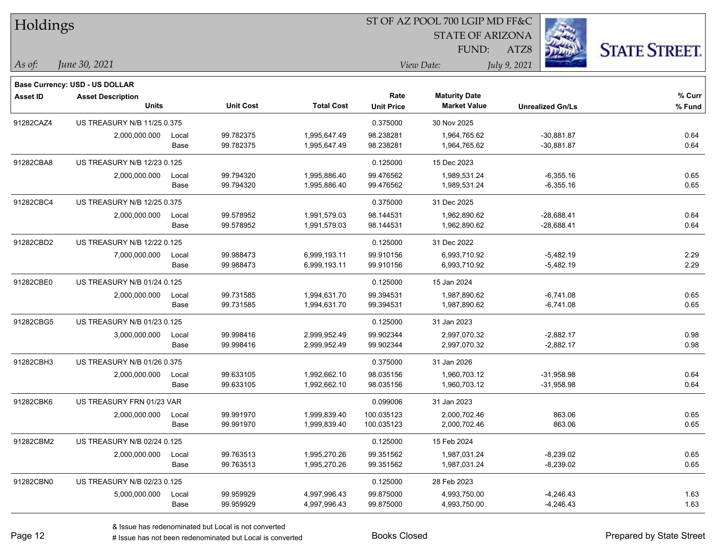| Holdings        |                                       |       |                  |                   |                   | ST OF AZ POOL 700 LGIP MD FF&C |                         |                      |
|-----------------|---------------------------------------|-------|------------------|-------------------|-------------------|--------------------------------|-------------------------|----------------------|
|                 |                                       |       |                  |                   |                   | <b>STATE OF ARIZONA</b>        |                         |                      |
|                 |                                       |       |                  |                   |                   | FUND:                          | ATZ8                    | <b>STATE STREET.</b> |
| $\vert$ As of:  | June 30, 2021                         |       |                  |                   |                   | View Date:                     | July 9, 2021            |                      |
|                 | <b>Base Currency: USD - US DOLLAR</b> |       |                  |                   |                   |                                |                         |                      |
| <b>Asset ID</b> | <b>Asset Description</b>              |       |                  |                   | Rate              | <b>Maturity Date</b>           |                         | % Curr               |
|                 | <b>Units</b>                          |       | <b>Unit Cost</b> | <b>Total Cost</b> | <b>Unit Price</b> | <b>Market Value</b>            | <b>Unrealized Gn/Ls</b> | % Fund               |
| 91282CAZ4       | US TREASURY N/B 11/25 0.375           |       |                  |                   | 0.375000          | 30 Nov 2025                    |                         |                      |
|                 | 2,000,000.000                         | Local | 99.782375        | 1,995,647.49      | 98.238281         | 1,964,765.62                   | $-30,881.87$            | 0.64                 |
|                 |                                       | Base  | 99.782375        | 1,995,647.49      | 98.238281         | 1,964,765.62                   | $-30,881.87$            | 0.64                 |
| 91282CBA8       | US TREASURY N/B 12/23 0.125           |       |                  |                   | 0.125000          | 15 Dec 2023                    |                         |                      |
|                 | 2,000,000.000                         | Local | 99.794320        | 1,995,886.40      | 99.476562         | 1,989,531.24                   | $-6,355.16$             | 0.65                 |
|                 |                                       | Base  | 99.794320        | 1,995,886.40      | 99.476562         | 1,989,531.24                   | $-6,355.16$             | 0.65                 |
| 91282CBC4       | US TREASURY N/B 12/25 0.375           |       |                  |                   | 0.375000          | 31 Dec 2025                    |                         |                      |
|                 | 2,000,000.000                         | Local | 99.578952        | 1,991,579.03      | 98.144531         | 1,962,890.62                   | $-28,688.41$            | 0.64                 |
|                 |                                       | Base  | 99.578952        | 1,991,579.03      | 98.144531         | 1,962,890.62                   | $-28,688.41$            | 0.64                 |
| 91282CBD2       | US TREASURY N/B 12/22 0.125           |       |                  |                   | 0.125000          | 31 Dec 2022                    |                         |                      |
|                 | 7,000,000.000                         | Local | 99.988473        | 6,999,193.11      | 99.910156         | 6,993,710.92                   | $-5,482.19$             | 2.29                 |
|                 |                                       | Base  | 99.988473        | 6,999,193.11      | 99.910156         | 6,993,710.92                   | $-5,482.19$             | 2.29                 |
| 91282CBE0       | US TREASURY N/B 01/24 0.125           |       |                  |                   | 0.125000          | 15 Jan 2024                    |                         |                      |
|                 | 2,000,000.000                         | Local | 99.731585        | 1,994,631.70      | 99.394531         | 1,987,890.62                   | $-6,741.08$             | 0.65                 |
|                 |                                       | Base  | 99.731585        | 1,994,631.70      | 99.394531         | 1,987,890.62                   | $-6,741.08$             | 0.65                 |
| 91282CBG5       | US TREASURY N/B 01/23 0.125           |       |                  |                   | 0.125000          | 31 Jan 2023                    |                         |                      |
|                 | 3,000,000.000                         | Local | 99.998416        | 2,999,952.49      | 99.902344         | 2,997,070.32                   | $-2,882.17$             | 0.98                 |
|                 |                                       | Base  | 99.998416        | 2,999,952.49      | 99.902344         | 2,997,070.32                   | $-2,882.17$             | 0.98                 |
| 91282CBH3       | US TREASURY N/B 01/26 0.375           |       |                  |                   | 0.375000          | 31 Jan 2026                    |                         |                      |
|                 | 2,000,000.000                         | Local | 99.633105        | 1,992,662.10      | 98.035156         | 1,960,703.12                   | $-31,958.98$            | 0.64                 |
|                 |                                       | Base  | 99.633105        | 1,992,662.10      | 98.035156         | 1,960,703.12                   | $-31,958.98$            | 0.64                 |
| 91282CBK6       | US TREASURY FRN 01/23 VAR             |       |                  |                   | 0.099006          | 31 Jan 2023                    |                         |                      |
|                 | 2,000,000.000                         | Local | 99.991970        | 1,999,839.40      | 100.035123        | 2,000,702.46                   | 863.06                  | 0.65                 |
|                 |                                       | Base  | 99.991970        | 1,999,839.40      | 100.035123        | 2,000,702.46                   | 863.06                  | 0.65                 |
| 91282CBM2       | US TREASURY N/B 02/24 0.125           |       |                  |                   | 0.125000          | 15 Feb 2024                    |                         |                      |
|                 | 2,000,000.000                         | Local | 99.763513        | 1,995,270.26      | 99.351562         | 1,987,031.24                   | $-8,239.02$             | 0.65                 |
|                 |                                       | Base  | 99.763513        | 1,995,270.26      | 99.351562         | 1,987,031.24                   | $-8,239.02$             | 0.65                 |
| 91282CBN0       | US TREASURY N/B 02/23 0.125           |       |                  |                   | 0.125000          | 28 Feb 2023                    |                         |                      |
|                 | 5,000,000.000                         | Local | 99.959929        | 4,997,996.43      | 99.875000         | 4,993,750.00                   | $-4,246.43$             | 1.63                 |
|                 |                                       | Base  | 99.959929        | 4,997,996.43      | 99.875000         | 4,993,750.00                   | $-4,246.43$             | 1.63                 |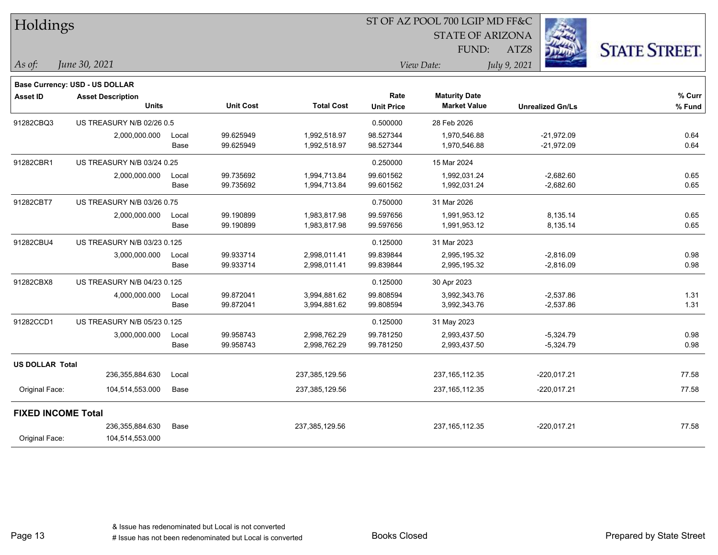| Holdings                  |                                |       |                  | ST OF AZ POOL 700 LGIP MD FF&C |                   |                         |                         |                      |  |  |
|---------------------------|--------------------------------|-------|------------------|--------------------------------|-------------------|-------------------------|-------------------------|----------------------|--|--|
|                           |                                |       |                  |                                |                   | <b>STATE OF ARIZONA</b> |                         |                      |  |  |
|                           |                                |       |                  |                                |                   | FUND:                   | ATZ8                    | <b>STATE STREET.</b> |  |  |
| As of:                    | June 30, 2021                  |       |                  |                                |                   | View Date:              | July 9, 2021            |                      |  |  |
|                           | Base Currency: USD - US DOLLAR |       |                  |                                |                   |                         |                         |                      |  |  |
| <b>Asset ID</b>           | <b>Asset Description</b>       |       |                  |                                | Rate              | <b>Maturity Date</b>    |                         | % Curr               |  |  |
|                           | <b>Units</b>                   |       | <b>Unit Cost</b> | <b>Total Cost</b>              | <b>Unit Price</b> | <b>Market Value</b>     | <b>Unrealized Gn/Ls</b> | % Fund               |  |  |
| 91282CBQ3                 | US TREASURY N/B 02/26 0.5      |       |                  |                                | 0.500000          | 28 Feb 2026             |                         |                      |  |  |
|                           | 2,000,000.000                  | Local | 99.625949        | 1,992,518.97                   | 98.527344         | 1,970,546.88            | $-21,972.09$            | 0.64                 |  |  |
|                           |                                | Base  | 99.625949        | 1,992,518.97                   | 98.527344         | 1,970,546.88            | $-21,972.09$            | 0.64                 |  |  |
| 91282CBR1                 | US TREASURY N/B 03/24 0.25     |       |                  |                                | 0.250000          | 15 Mar 2024             |                         |                      |  |  |
|                           | 2,000,000.000                  | Local | 99.735692        | 1,994,713.84                   | 99.601562         | 1,992,031.24            | $-2,682.60$             | 0.65                 |  |  |
|                           |                                | Base  | 99.735692        | 1,994,713.84                   | 99.601562         | 1,992,031.24            | $-2,682.60$             | 0.65                 |  |  |
| 91282CBT7                 | US TREASURY N/B 03/26 0.75     |       |                  |                                | 0.750000          | 31 Mar 2026             |                         |                      |  |  |
|                           | 2,000,000.000                  | Local | 99.190899        | 1,983,817.98                   | 99.597656         | 1,991,953.12            | 8,135.14                | 0.65                 |  |  |
|                           |                                | Base  | 99.190899        | 1,983,817.98                   | 99.597656         | 1,991,953.12            | 8,135.14                | 0.65                 |  |  |
| 91282CBU4                 | US TREASURY N/B 03/23 0.125    |       |                  |                                | 0.125000          | 31 Mar 2023             |                         |                      |  |  |
|                           | 3,000,000.000                  | Local | 99.933714        | 2,998,011.41                   | 99.839844         | 2,995,195.32            | $-2,816.09$             | 0.98                 |  |  |
|                           |                                | Base  | 99.933714        | 2,998,011.41                   | 99.839844         | 2,995,195.32            | $-2,816.09$             | 0.98                 |  |  |
| 91282CBX8                 | US TREASURY N/B 04/23 0.125    |       |                  |                                | 0.125000          | 30 Apr 2023             |                         |                      |  |  |
|                           | 4,000,000.000                  | Local | 99.872041        | 3,994,881.62                   | 99.808594         | 3,992,343.76            | $-2,537.86$             | 1.31                 |  |  |
|                           |                                | Base  | 99.872041        | 3,994,881.62                   | 99.808594         | 3,992,343.76            | $-2,537.86$             | 1.31                 |  |  |
| 91282CCD1                 | US TREASURY N/B 05/23 0.125    |       |                  |                                | 0.125000          | 31 May 2023             |                         |                      |  |  |
|                           | 3,000,000.000                  | Local | 99.958743        | 2,998,762.29                   | 99.781250         | 2,993,437.50            | $-5,324.79$             | 0.98                 |  |  |
|                           |                                | Base  | 99.958743        | 2,998,762.29                   | 99.781250         | 2,993,437.50            | $-5,324.79$             | 0.98                 |  |  |
| <b>US DOLLAR Total</b>    |                                |       |                  |                                |                   |                         |                         |                      |  |  |
|                           | 236,355,884.630                | Local |                  | 237,385,129.56                 |                   | 237, 165, 112. 35       | $-220,017.21$           | 77.58                |  |  |
| Original Face:            | 104,514,553.000                | Base  |                  | 237,385,129.56                 |                   | 237, 165, 112.35        | $-220,017.21$           | 77.58                |  |  |
| <b>FIXED INCOME Total</b> |                                |       |                  |                                |                   |                         |                         |                      |  |  |
|                           | 236,355,884.630                | Base  |                  | 237,385,129.56                 |                   | 237, 165, 112.35        | $-220,017.21$           | 77.58                |  |  |
| Original Face:            | 104,514,553.000                |       |                  |                                |                   |                         |                         |                      |  |  |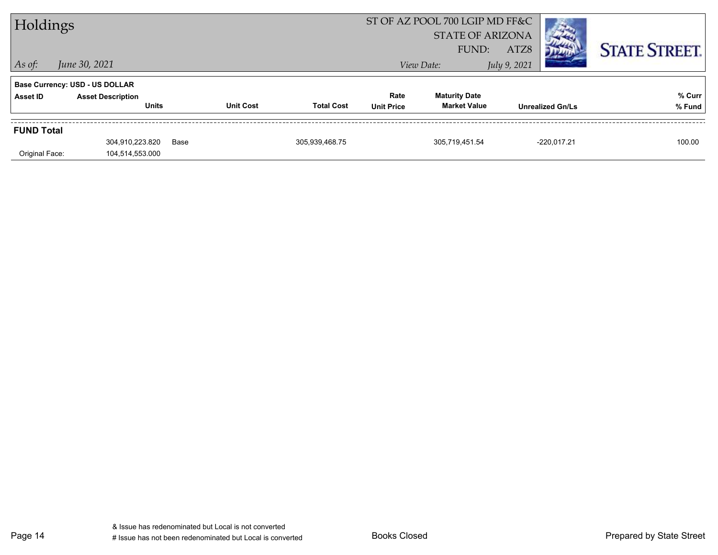| Holdings          |                                       |      | ST OF AZ POOL 700 LGIP MD FF&C |                   |                   |                         |              |                         |                      |
|-------------------|---------------------------------------|------|--------------------------------|-------------------|-------------------|-------------------------|--------------|-------------------------|----------------------|
|                   |                                       |      |                                |                   |                   | <b>STATE OF ARIZONA</b> |              |                         |                      |
|                   |                                       |      |                                |                   |                   | FUND:                   | ATZ8         |                         | <b>STATE STREET.</b> |
| $ $ As of:        | June 30, 2021                         |      |                                |                   |                   | View Date:              | July 9, 2021 |                         |                      |
|                   | <b>Base Currency: USD - US DOLLAR</b> |      |                                |                   |                   |                         |              |                         |                      |
| Asset ID          | <b>Asset Description</b>              |      |                                |                   | Rate              | <b>Maturity Date</b>    |              |                         | % Curr               |
|                   | <b>Units</b>                          |      | <b>Unit Cost</b>               | <b>Total Cost</b> | <b>Unit Price</b> | <b>Market Value</b>     |              | <b>Unrealized Gn/Ls</b> | % Fund               |
| <b>FUND Total</b> |                                       |      |                                |                   |                   |                         |              |                         |                      |
|                   | 304,910,223.820                       | Base |                                | 305,939,468.75    |                   | 305,719,451.54          |              | $-220,017.21$           | 100.00               |
| Original Face:    | 104,514,553.000                       |      |                                |                   |                   |                         |              |                         |                      |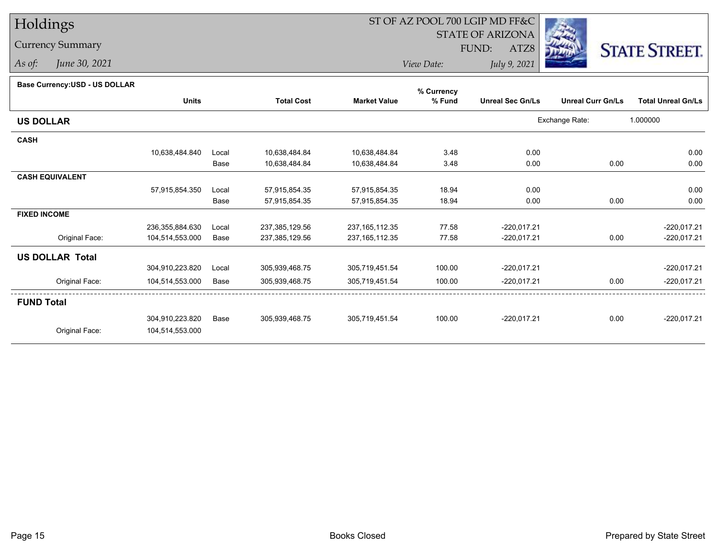## Holdings

Currency Summary

*As of: June 30, 2021*

## ST OF AZ POOL 700 LGIP MD FF&C

STATE OF ARIZONA

FUND:

ATZ8



*View Date:July 9, 2021*

**Base Currency:USD - US DOLLAR**

|                        |                 |       |                   |                     | % Currency |                         |                          |                           |
|------------------------|-----------------|-------|-------------------|---------------------|------------|-------------------------|--------------------------|---------------------------|
|                        | <b>Units</b>    |       | <b>Total Cost</b> | <b>Market Value</b> | % Fund     | <b>Unreal Sec Gn/Ls</b> | <b>Unreal Curr Gn/Ls</b> | <b>Total Unreal Gn/Ls</b> |
| <b>US DOLLAR</b>       |                 |       |                   |                     |            |                         | Exchange Rate:           | 1.000000                  |
| <b>CASH</b>            |                 |       |                   |                     |            |                         |                          |                           |
|                        | 10,638,484.840  | Local | 10,638,484.84     | 10,638,484.84       | 3.48       | 0.00                    |                          | 0.00                      |
|                        |                 | Base  | 10,638,484.84     | 10,638,484.84       | 3.48       | 0.00                    | 0.00                     | 0.00                      |
| <b>CASH EQUIVALENT</b> |                 |       |                   |                     |            |                         |                          |                           |
|                        | 57,915,854.350  | Local | 57,915,854.35     | 57,915,854.35       | 18.94      | 0.00                    |                          | 0.00                      |
|                        |                 | Base  | 57,915,854.35     | 57,915,854.35       | 18.94      | 0.00                    | 0.00                     | 0.00                      |
| <b>FIXED INCOME</b>    |                 |       |                   |                     |            |                         |                          |                           |
|                        | 236,355,884.630 | Local | 237,385,129.56    | 237, 165, 112.35    | 77.58      | $-220,017.21$           |                          | $-220,017.21$             |
| Original Face:         | 104,514,553.000 | Base  | 237,385,129.56    | 237, 165, 112.35    | 77.58      | $-220,017.21$           | 0.00                     | $-220,017.21$             |
| <b>US DOLLAR Total</b> |                 |       |                   |                     |            |                         |                          |                           |
|                        | 304,910,223.820 | Local | 305,939,468.75    | 305,719,451.54      | 100.00     | $-220,017.21$           |                          | $-220,017.21$             |
| Original Face:         | 104,514,553.000 | Base  | 305,939,468.75    | 305,719,451.54      | 100.00     | $-220,017.21$           | 0.00                     | $-220,017.21$             |
| <b>FUND Total</b>      |                 |       |                   |                     |            |                         |                          |                           |
|                        | 304,910,223.820 | Base  | 305,939,468.75    | 305,719,451.54      | 100.00     | $-220,017.21$           | 0.00                     | $-220,017.21$             |
| Original Face:         | 104,514,553.000 |       |                   |                     |            |                         |                          |                           |
|                        |                 |       |                   |                     |            |                         |                          |                           |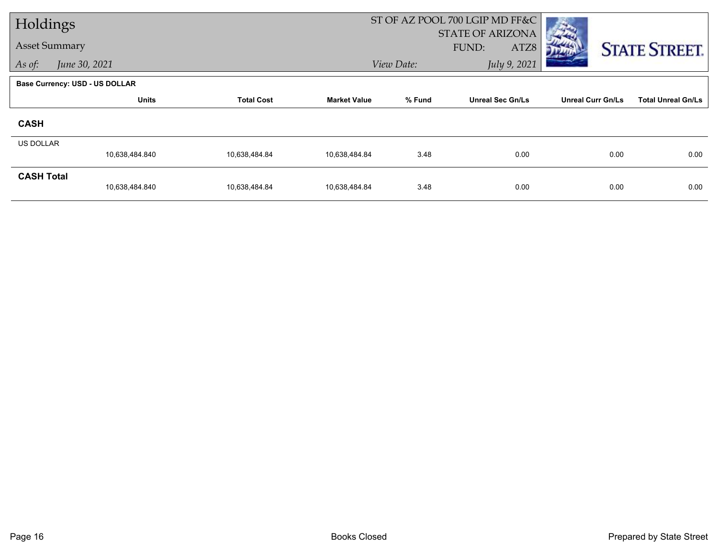| Holdings             |                                       |                   |                     |            | ST OF AZ POOL 700 LGIP MD FF&C           |                          |                           |  |
|----------------------|---------------------------------------|-------------------|---------------------|------------|------------------------------------------|--------------------------|---------------------------|--|
| <b>Asset Summary</b> |                                       |                   |                     |            | <b>STATE OF ARIZONA</b><br>FUND:<br>ATZ8 |                          | <b>STATE STREET.</b>      |  |
| As of:               | June 30, 2021                         |                   |                     | View Date: | July 9, 2021                             |                          |                           |  |
|                      | <b>Base Currency: USD - US DOLLAR</b> |                   |                     |            |                                          |                          |                           |  |
|                      | <b>Units</b>                          | <b>Total Cost</b> | <b>Market Value</b> | % Fund     | <b>Unreal Sec Gn/Ls</b>                  | <b>Unreal Curr Gn/Ls</b> | <b>Total Unreal Gn/Ls</b> |  |
| <b>CASH</b>          |                                       |                   |                     |            |                                          |                          |                           |  |
| <b>US DOLLAR</b>     |                                       |                   |                     |            |                                          |                          |                           |  |
|                      | 10,638,484.840                        | 10,638,484.84     | 10.638,484.84       | 3.48       | 0.00                                     | 0.00                     | 0.00                      |  |
| <b>CASH Total</b>    | 10,638,484.840                        | 10,638,484.84     | 10,638,484.84       | 3.48       | 0.00                                     | 0.00                     | 0.00                      |  |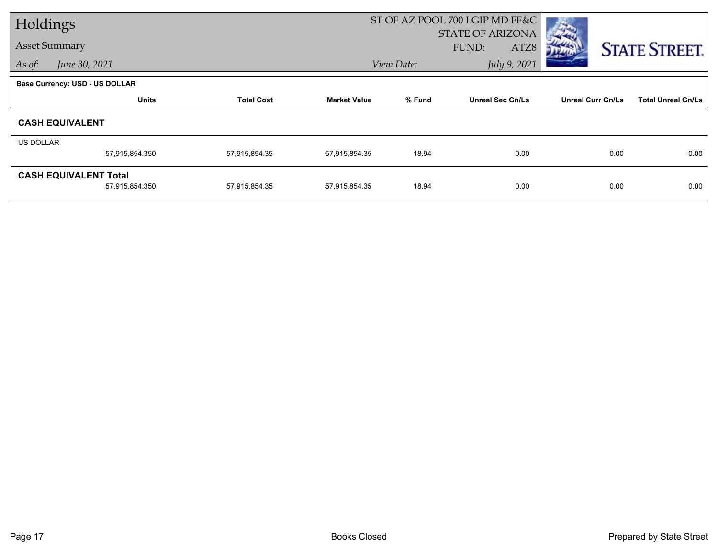| Holdings                       |                   |                     | ST OF AZ POOL 700 LGIP MD FF&C |                         |                          |                           |
|--------------------------------|-------------------|---------------------|--------------------------------|-------------------------|--------------------------|---------------------------|
|                                |                   |                     |                                | STATE OF ARIZONA        |                          |                           |
| <b>Asset Summary</b>           |                   |                     |                                | FUND:<br>ATZ8           |                          | <b>STATE STREET.</b>      |
| As of:<br>June 30, 2021        |                   |                     | View Date:                     | July 9, 2021            |                          |                           |
| Base Currency: USD - US DOLLAR |                   |                     |                                |                         |                          |                           |
| <b>Units</b>                   | <b>Total Cost</b> | <b>Market Value</b> | % Fund                         | <b>Unreal Sec Gn/Ls</b> | <b>Unreal Curr Gn/Ls</b> | <b>Total Unreal Gn/Ls</b> |
| <b>CASH EQUIVALENT</b>         |                   |                     |                                |                         |                          |                           |
| US DOLLAR                      |                   |                     |                                |                         |                          |                           |
| 57,915,854.350                 | 57,915,854.35     | 57,915,854.35       | 18.94                          | 0.00                    | 0.00                     | 0.00                      |
| <b>CASH EQUIVALENT Total</b>   |                   |                     |                                |                         |                          |                           |
| 57,915,854.350                 | 57,915,854.35     | 57,915,854.35       | 18.94                          | 0.00                    | 0.00                     | 0.00                      |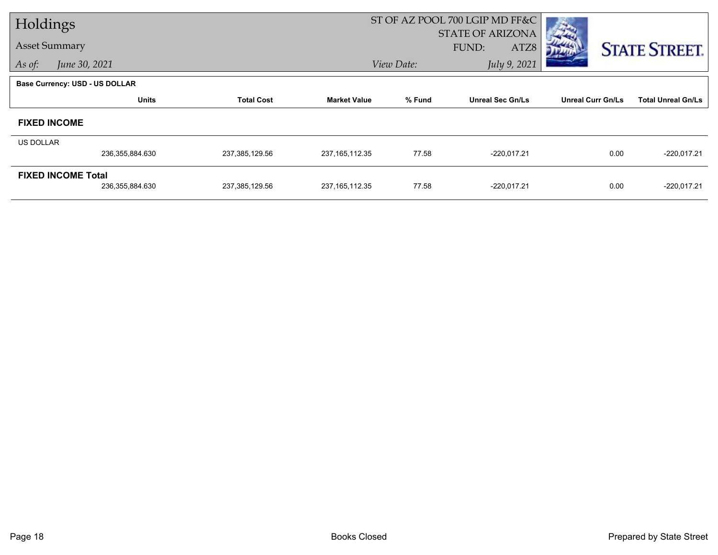| Holdings             |                                       |                   |                     | ST OF AZ POOL 700 LGIP MD FF&C |                                          |                          |                           |
|----------------------|---------------------------------------|-------------------|---------------------|--------------------------------|------------------------------------------|--------------------------|---------------------------|
| <b>Asset Summary</b> |                                       |                   |                     |                                | <b>STATE OF ARIZONA</b><br>FUND:<br>ATZ8 |                          |                           |
| As of:               | June 30, 2021                         |                   |                     | View Date:                     | July 9, 2021                             |                          | <b>STATE STREET.</b>      |
|                      |                                       |                   |                     |                                |                                          |                          |                           |
|                      | <b>Base Currency: USD - US DOLLAR</b> |                   |                     |                                |                                          |                          |                           |
|                      | <b>Units</b>                          | <b>Total Cost</b> | <b>Market Value</b> | % Fund                         | <b>Unreal Sec Gn/Ls</b>                  | <b>Unreal Curr Gn/Ls</b> | <b>Total Unreal Gn/Ls</b> |
| <b>FIXED INCOME</b>  |                                       |                   |                     |                                |                                          |                          |                           |
| US DOLLAR            |                                       |                   |                     |                                |                                          |                          |                           |
|                      | 236,355,884.630                       | 237,385,129.56    | 237, 165, 112.35    | 77.58                          | $-220,017.21$                            | 0.00                     | $-220,017.21$             |
|                      | <b>FIXED INCOME Total</b>             |                   |                     |                                |                                          |                          |                           |
|                      | 236,355,884.630                       | 237,385,129.56    | 237, 165, 112.35    | 77.58                          | $-220,017.21$                            | 0.00                     | $-220,017.21$             |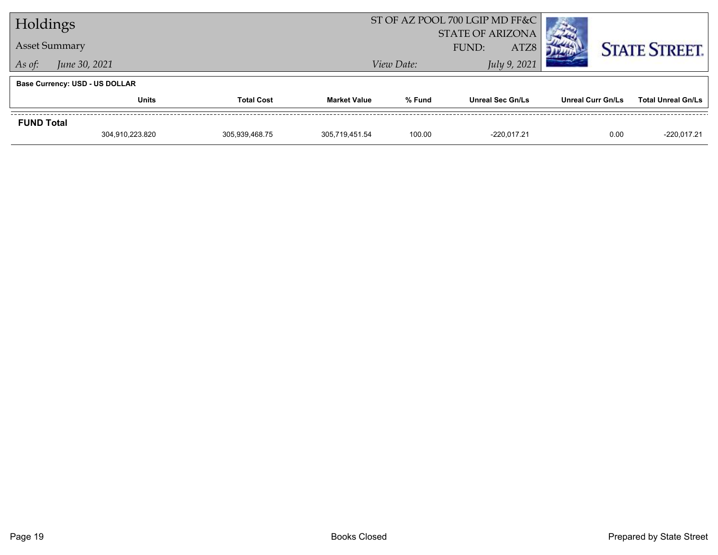| Holdings                |                                       |                   |                     | ST OF AZ POOL 700 LGIP MD FF&C<br><b>STATE OF ARIZONA</b> |                         |                          |                           |
|-------------------------|---------------------------------------|-------------------|---------------------|-----------------------------------------------------------|-------------------------|--------------------------|---------------------------|
|                         | <b>Asset Summary</b>                  |                   |                     |                                                           | FUND:<br>ATZ8           |                          | <b>STATE STREET.</b>      |
| June 30, 2021<br>As of: |                                       |                   |                     | View Date:                                                | July 9, 2021            |                          |                           |
|                         | <b>Base Currency: USD - US DOLLAR</b> |                   |                     |                                                           |                         |                          |                           |
|                         | <b>Units</b>                          | <b>Total Cost</b> | <b>Market Value</b> | % Fund                                                    | <b>Unreal Sec Gn/Ls</b> | <b>Unreal Curr Gn/Ls</b> | <b>Total Unreal Gn/Ls</b> |
| <b>FUND Total</b>       |                                       |                   |                     |                                                           |                         |                          |                           |
|                         | 304.910.223.820                       | 305.939.468.75    | 305.719.451.54      | 100.00                                                    | $-220.017.21$           | 0.00                     | $-220.017.21$             |